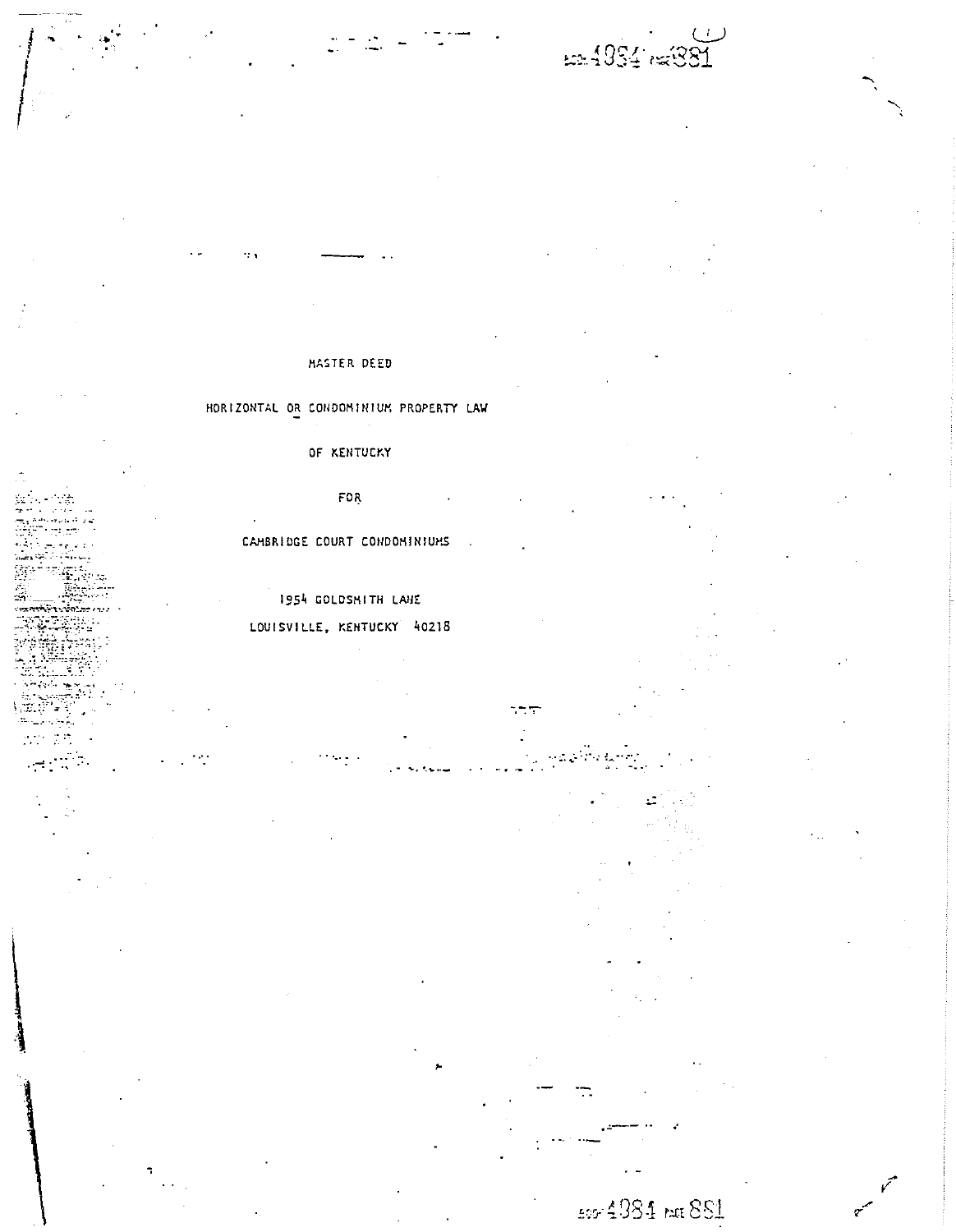£2.4854 (£881

# MASTER DEED

# HORIZONTAL OR CONDOMINIUM PROPERTY LAW

## OF KENTUCKY

FOR

CAMBRIDGE COURT CONDOMINIUMS

## 1954 GOLDSMITH LANE

## LOUISVILLE, KENTUCKY 40218

 $\sim$   $\sim$ 

 $\mathcal{P}$ 

÷.

500 4984 PACE 881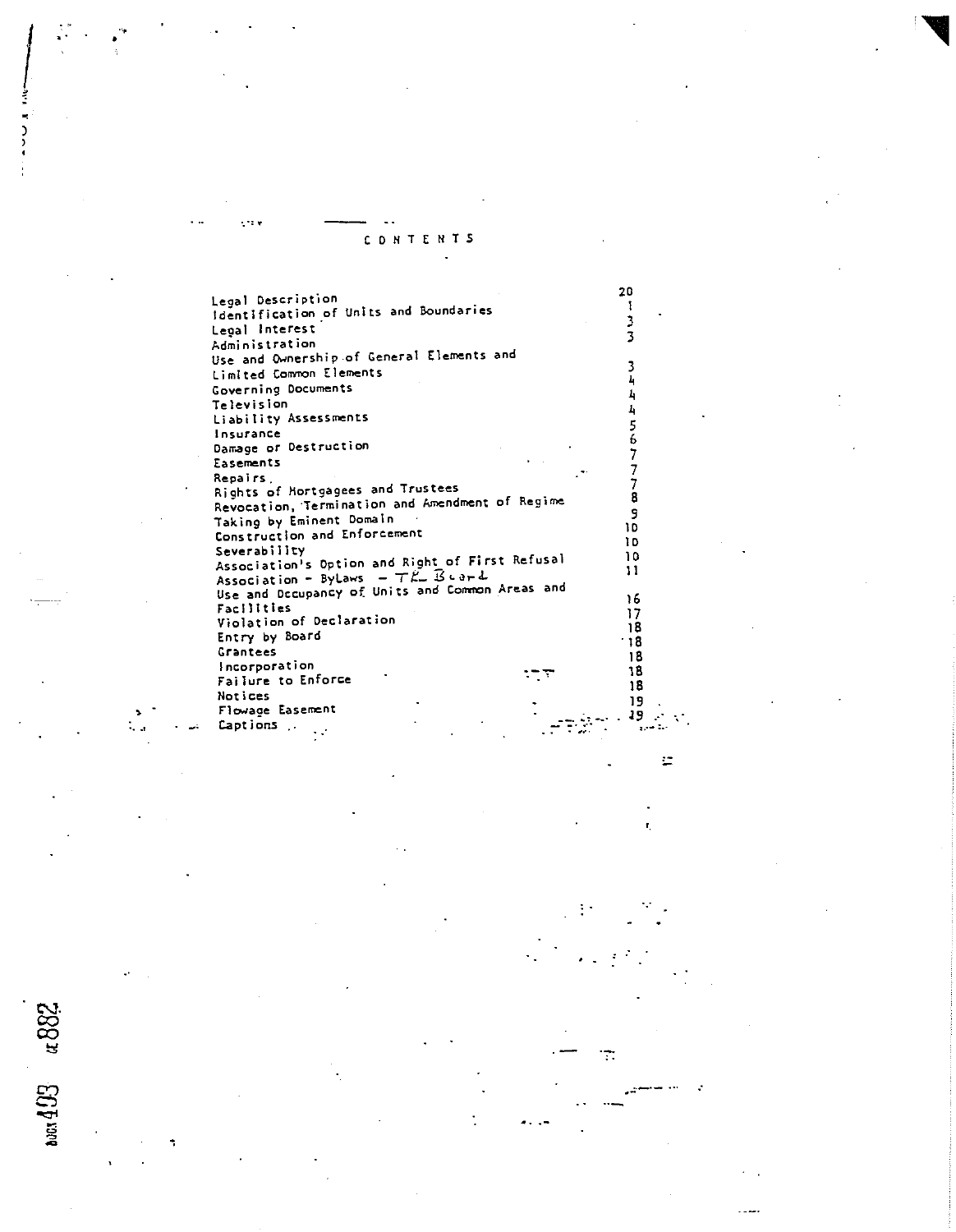CONTENTS

20

 $\mathbf{I}% _{t}\left| \mathbf{I}_{t}\right|$  $\frac{3}{3}$ 

 $\overline{\mathbf{3}}$ 

 $\mathbf{\bar{1}}$ 

 $\mathbf{A}$ 

 $\frac{1}{2}$ 

567778

9

10

 $\mathbf i$  D

 $10$ 

 $\mathbf{1}$ 

 $16$ 

 $\overline{17}$ 

 $18$ 

 $-18$ 

 $18$ 

18

18

19

19

Ŧ.

 $\overline{\mathbf{z}}$ 

УĴ,

 $\ddotsc$ 

iz.

Ч.,

u 88

bots 403

 $\sim$  10  $\times$ 

Legal Description Identification of Units and Boundaries Legal Interest Administration Use and Ownership of General Elements and Limited Common Elements Governing Documents Television Liability Assessments Insurance Damage or Destruction Easements Repairs. Rights of Hortgagees and Trustees Revocation, Termination and Amendment of Regime Taking by Eminent Domain Construction and Enforcement Severability Association's Option and Right of First Refusal Association - ByLaws -  $TK - B$  card Use and Decupancy of Units and Common Areas and Facilities Violation of Declaration Entry by Board Grantees Incorporation  $\tau\tau$ Failure to Enforce Notices Flowage Easement Captions.  $\ddot{\phantom{a}}$  $\sim$   $\sigma$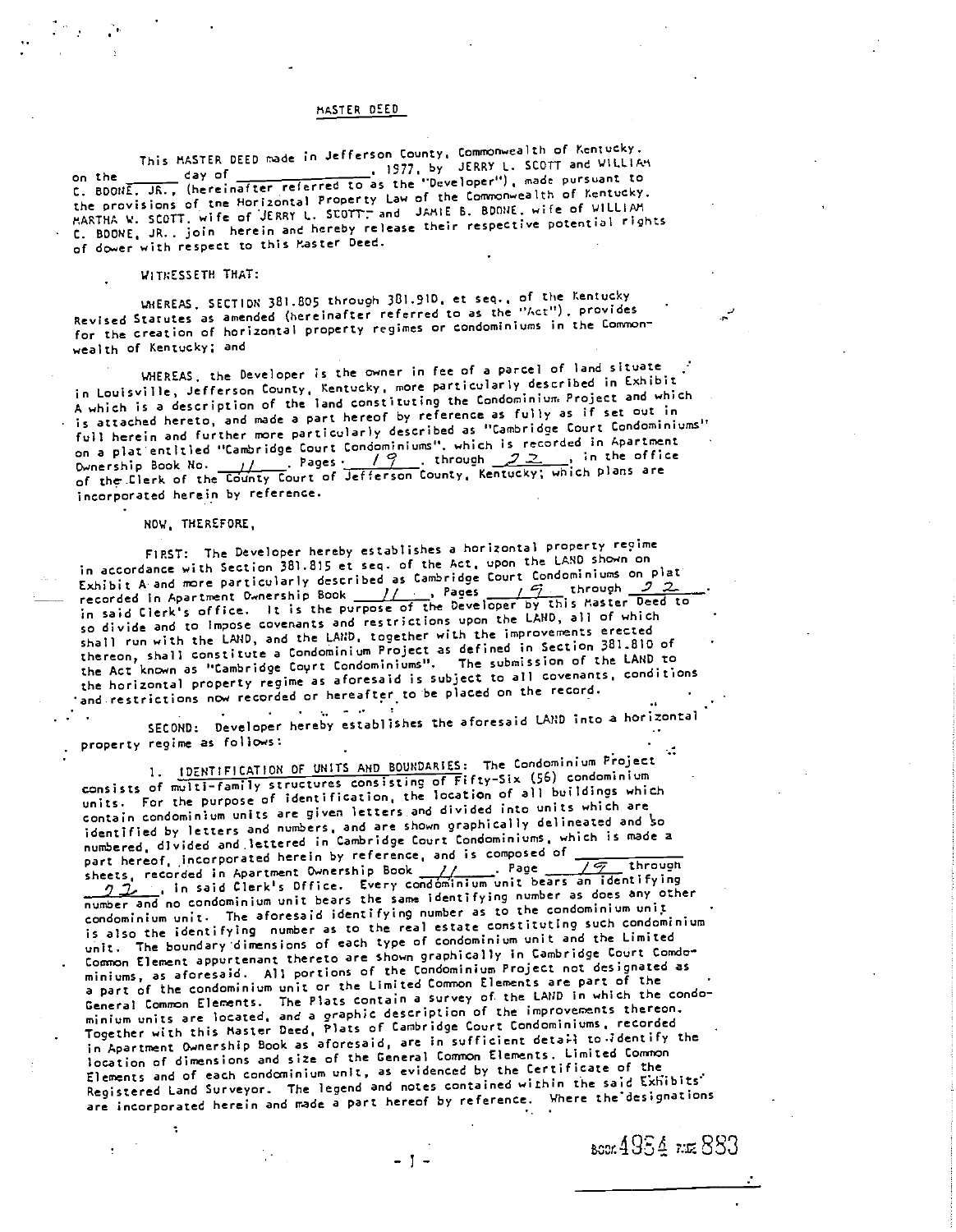### MASTER DEED

This MASTER DEED nade in Jefferson County. Commonwealth of Kentucky. on the  $\_\_\_$  day of  $\_\_$ C. BOONE, JR., (hereinafter referred to as the "beveroper"), move the fittucky,<br>the provisions of the Horizontal Property Law of the Commonwealth of Kentucky, the provisions of the norizontal ("operty can<br>HARTHA W. SCOTT, wife of JERRY L. SCOTT, and JAMIE B. BDONE, wife of WILLIAM C. BDONE, JR., join herein and hereby release<br>of dower with respect to this Master Deed. 1977, by -"I,JERRY L. SCOTT and WILLIAM nafter referred to as the "Developer"), made pursuant to C. BDONE, JR., join herein and hereby release their respective potential rights

## WITNESSETH THAT:

WHEREAS, SECTION 381.805 through 381.910, et seq., of the Kentucky Revised Statutes as amended (hereinafter referred to as the "Act'), provides for the creation of horizontal property regimes or condominiums in the Commonwealth of Kentucky; and

WHEREAS. the Developer is the owner in fee of a parcel of land situate WHEREAS, the Developer is the owner in ree or a portor is escribed in Exhibit<br>in Louisville, Jefferson County, Kentucky, more particularly described in Exhibit in Louisville, Jefferson County, Nentucky, More percreasery,<br>A which is a description of the land constituting the Condominium Project and which is attached hereto, and made a part hereof by reference as fully as if set out in full herein and further more particularly described as "Cambridge Court Condominiums" on a plat entitled "Cambridge Court Condominiums", which Is recorded in Apartment on a plat entitled "Cambridge Court Condominiums". Which is recovered in the office<br>Ownership Book No. (  $\frac{p}{2}$  . Pages . (  $\frac{p}{2}$  . through ... , in the office Ownership Book No. 11 Ages: 11, Chrough County, Kentucky; which plans are<br>of the Clerk of the County Court of Jefferson County, Kentucky; which plans are incorporated herein by reference.

### NOW, THEREFORE,

FIRST: The Developer hereby establishes a horizontal property reqine in accordance with Section 381.815 et seq. of the Act, upon the LAND shown on Exhibit A and more particularly described as Cambridge Court Condominiums on plat recorded in Apartment Ownership Book 1/ , Paces / '7 through .2 2... in said Clerk's office. It is the purpose of the Developer by this Master Deed to so divide and to impose covenants and restrictions upon the LAND, all of which shall run with the LAND, and the LAUD, together with the improvements erected shall run with the LAND, and the LAND, together with the number of 381.810 of the Act known as "Cambridge Coyrt Condominiums". The submission of the LAND to the horizontal property regime as aforesaid is subject to all covenants, conditions and restrictions now recorded or hereafter to be placed on the record.

SECOND: Developer hereby establishes the aforesaid LAUD into a horizonta' property regime as follows:

1. IDENTIFICATION OF UNITS AND BOUNDARIES: The Condominiun Project consists of multi-family structures consisting of Fifty-SiX (56) condominium units. For the purpose of identification, the location of all buildings which contain condominium units are given letters and divided into units which are identified by letters and numbers, and are shown graphically delineated and so numbered, divided and lettered in Cambridge Court Condominiums, which is made a part hereof, incorporated herein by reference, and is composed of sheets, recorded in Apartment Ownership Book 11. part hereof, incorporated nerein by reference, and is composed  $\sqrt{\frac{c}{\sqrt{2}}}$  through<br>sheets, recorded in Apartment Ownership Book  $\frac{1}{\sqrt{2}}$ , Page 14226, 28 identifying  $\sum$ , recorded in Apartment Ownership BOOK  $\sum$ , in said Clerk's Office. Every condominium unit bears an identifying number and no condominium unit bears the same identifying number as does any other condominium unit. The aforesaid identifying number as to the condominium unit is also the identifying number as to the real estate constituting such condominium unit. The boundary dimensions of each type of condominium unit and the Limited Common Element appurtenant thereto are shown graphically in Cambridge Court Comdominiums, as aforesaid. Al) portions of the Condominium Project not designated as a part of the condominium unit or the Limited Common Elements are part of the a part of the condominium unit or the Eimited Sammon.<br>General Common Elements. The Plats contain a survey of the LAND in which the condo-General Common Elements. The riats contain o survey of the improvements thereon.<br>minium units are located, and a graphic description of the improvements thereorded Together with this Master Deed, flats of Cambridge Court Condominiums, recorded in Apartment Ownership Book as aforesaid, are in sufficient detail to  $4$ dentify the location of dimensions and size of the General Common Elements, Limited Common Elements and of each condauinium unit, as evidenced by the Certificate of the Registered Land Surveyor. The legend and notes contained within the said Exhibits' are incorporated herein and made a part hereof by reference. Where the designations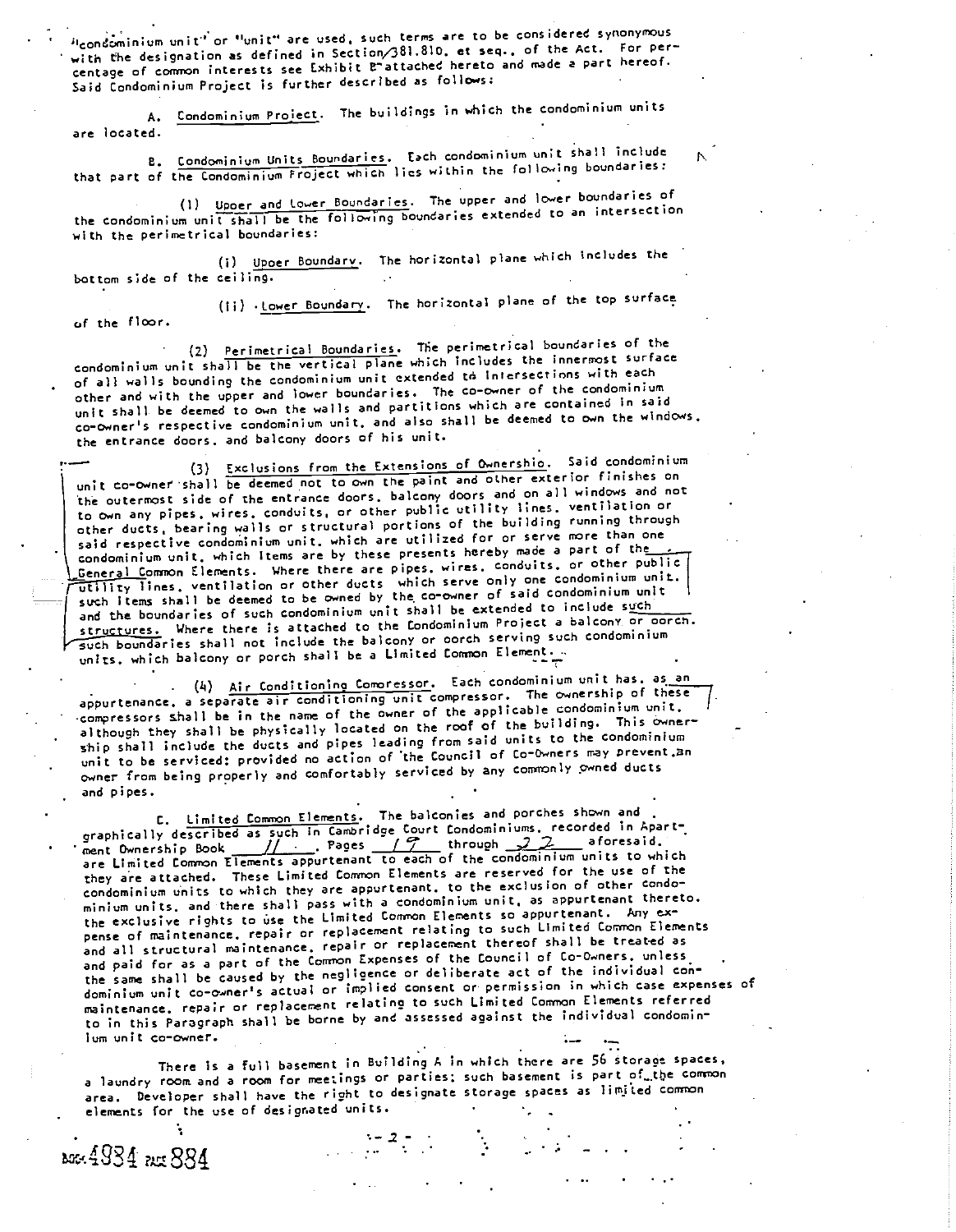Hcondominium unit' or "unit" are used, such terms are to be considered synonymous with the designation as defined in Section/381.810, et seq., of the Act. For percentage of common interests see Exhibit Battached hereto and made a part hereof. Said Condominium Project is further described as follows:

A. Condominium Proiect. The buildings in which the condominium units are located.

B. Condominium Units Boundaries. Each condominium unit shall include that part of the Condominium Project which lies within the following boundaries:

Cl) Upper and lower Boundaries. The upper and lower boundaries of the condominium unit shall be the following boundaries extended to an intersection with the perimetrical boundaries:

Upoer Boundary. The horizontal plane which includes the bottom side of the ceiling.

of the floor.

(Ii)  $\cdot$  Lower Boundary. The horizontal plane of the top surface

(2) Perimetrical Boundaries. The perimetrical boundaries of the condominium unit shall be the vertical plane which includes the innermost surface of all walls bounding the condominium unit extended tá Intersections with each other and with the upper and lower boundaries. The co-owner of the condominium unit shall be deemed to own the walls and partitions which are contained in said co-owner's respective condominium unit, and also shall be deemed to own the windows, the entrance doors, and balcony doors of his unit.

Exclusions from the Extensions of Ownership. Said condominium unit co-owner shall be deemed not to own the paint and other exterior finishes on the outermost side of the entrance doors, balcony doors and on all windows and not to own amy pipes, wires, conduits, or other public utility lines, ventilation or other ducts, bearing walls or structural portions of the building running through said respective condominium unit, which are utilized for or serve more than one condominium unit, which Items are by these presents hereby made a part of the **Ceneral Common Elements.** Where there are pipes, wires, conduits, or other public utility lines, ventilation or other ducts which serve only one condominium unit, such Items shall be deemed to be owned by the co-owner of said condominium unit and the boundaries of such condominium unit shall be extended to include such structures. Where there is attached to the Condominium Project a balcony or porch. such boundaries shall not include the balcony or oorch serving such condominium units, which balcony or porch shall be a Limited Common Element.

(4) Air Conditioning Comoressor. Each condominium unit has, as an appurtenance, a separate air conditioning unit compressor. The ownership of these compressors shall be in the name of the owner of the applicable condominium unit, although they shall be physically located on the roof of the building. This ownership shall include the ducts and pipes leading from said units to the condominium unit to be serviced: provided no action of the Council of Co-Owners may prevent.an owner from being properly and comfortably serviced by any commonly owned ducts and pipes.

C. Limited Common Elements. The balconies and porches shown and graphically described as such in Cambridge Court Condominiums, recorded in Apart-<br>ment Ownership Book // . . Pages // through 22 aforesaid. are Limited Connom Ilements appurtenant to each of the condominium units to which they are attached. These Limited Common Elements are reserved for the use of the condominium units to which they are appurtenant, to the exclusion of other condominium units, and there shall pass with a condominium unit, as appurtenant thereto, the exclusive rights to use the Limited Common Elements so appurtenant. Any expense of maintenance, repair or replacement relating to such Limited Common Elements and all structural maintenance, repair or replacement thereof shall be treated as and paid for as a part of the Cormon Expenses of the Council of Co-Owners, unless the same shall be caused by the negligence or deliberate act of the individual condominium unit co-owner's actual or implied consent or permission in which case expenses of maintenance, repair or replacement relating to such Limited Common Elements referred to in this paragraph shall be borne by and assessed against the individual condomin-Ium unit co-owner. -

There is a full basement in Building A in which there are 56 storage spaces, a laundry room and a room for meetings or parties; such basement is part of...the common area. Developer shall have the right to designate storage spaces as limited common elements for the use of designated units. .

**AGG-4934** Rest 884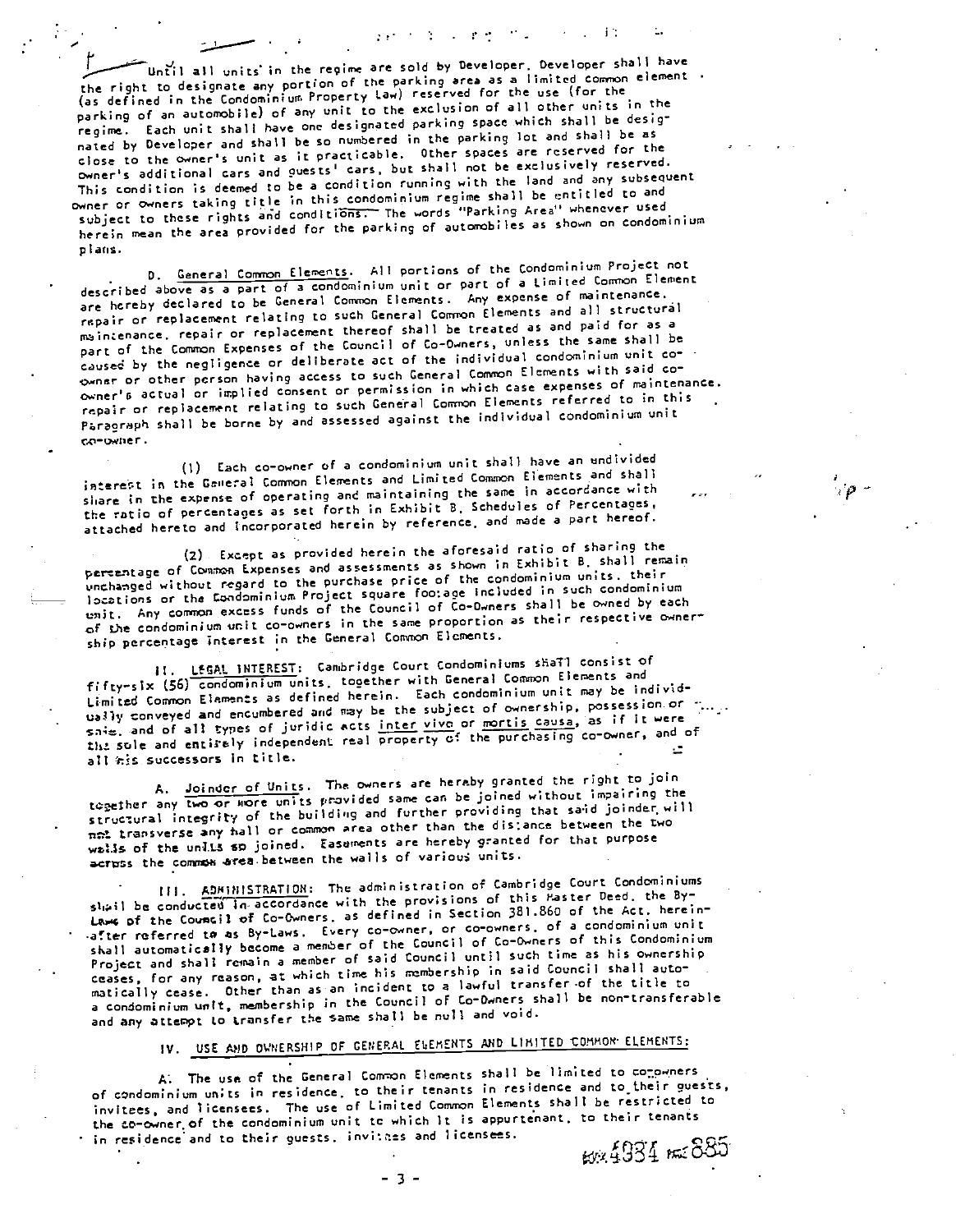Until all units in the regime are sold by Developer. Developer shall have the right to designate any portion of the parking area as a limited common element. (as defined in the Condominium Property law) reserved for the use (for the parking of an automobile) of any unit to the exclusion of all other units in the regime. Each unit shall have one designated parking space which shall be designated by Developer and shall be so numbered in the parking lot and shall be as close to the owner's unit as it practicable. Other spaces are reserved for the owner's additional cars and guests' cars, but shall not be exclusively reserved. This condition is deemed to be a condition running with the land and any subsequent ov,ner or owners taking title in this condominium regime shall be entitled to and subject to these rights and conditions. The words "Parking Area" whenever used herein mean the area provided for the parking of automobiles as shown on condominium plans.

**Contract** 

D. General Common Elements. All portions of the Condominium Project not described above as a part of a condominium unit or part of a Limited Common Element are hereby declared to be General Common Elements. Any expense of maintenance, repair or replacement relating to such General Common Elements and all structural maintenance, repair or replacement thereof shall be treated as and paid for as a part of the Common Expenses of the Council of Co-Owners, unless the same shall be caused by the negligence or deliberate act of the individual condominium unit co-<br>couner or other person having access to such General Common Elements with said coowner'& actual or implied consent or permission in which case expenses of maintenance, repair or replacement relating to such General Common Elements referred to in this Paragraph shall be borne by and assessed against the individual condominium unit Go-owner.

(I) tach co-owner of a condominium unit shall have an undivided interest in the Geweral Common Elements and Limited Common Elements and shall share in the expense of operating and maintaining the same in accordance with the ratio of percentages as set forth in Exhibit B, Schedules of Percentages, attached hereto and Incorporated herein by reference, and made a part hereof.

(2) Except as provided herein the aforesaid ratio of sharing the percentage of Common Expenses and assessments as shown in Exhibit B, shall remain unchasged without regard to the purchase price of the condominium units, their locations or the Condominium Project square footage included in such condominium unit. Any common excess funds of the Council of Co-Owners shall be owned by each of the condOminium unit co-owners in the same proportion as their respective ownership percentage Interest in the General Common Elcments.

LEGAL INTEREST: Cambridge Court Condominiums shall consist of fifty-six (56) condominium units, together with General Common Elements and Limited Common Elements as defined herein. Each condominium unit may be individua3)y conveyed and encumbered and may be the subject of ownership, possession or sais, and of all types of juridic acts inter vive or mortis causa, as if it were the sole and entirely independent real property of the purchasing co-owner, and of all his successors in title.

A. Joinder of Units. The owners are hereby granted the right to join together any two or wore units provided same can be joined without impairing the structural integrity of the building and further providing that said joinder will not transverse any hall or common area other than the distance between the two wells of the unlis so joined. Easuments are hereby granted for that purpose across the common area between the walls of various units.

III. ADMINISTRATION: The administration of Cambridge Court Condominiums shail be conducted In-accordance with the provisions of this Master Deed, the By-Laws of the Council of Co-Owners, as defined in Section 381.860 of the Act, hereinafter referred ta as By-Laws. Every co-owner, or co-owners, of a condominium unit shall automatically become a member of the Council of Co-Owners of this Condominium Project and shall remain a member of said Council untIl such time as his ownership ceases, for any reason, at which time his membership in said Council shall automatically cease. Other than as an incident to a lawful transfer of the title to a condominium unit, membership in the Council of Co-Owners shall be non-transferable and any attempt to transfer the same shall be null and void.

IV. USE AND OWNERSHIP OF GENERAL ELEMENTS AND LIMITED COMMON ELEMENTS:

A. The use of the General Common Elements shall be limited to co-owners of condominium unts in residence, to their tenants in residence and to\_their guests. invitees, and licensees, The use of Limited Conuron Elements shall be restricted to the co-owner of the condominium unit to which It is appurtenant, to their tenants in residence and to their guests, invitces and licensees.<br> $\frac{2751}{274}$   $\frac{235}{200}$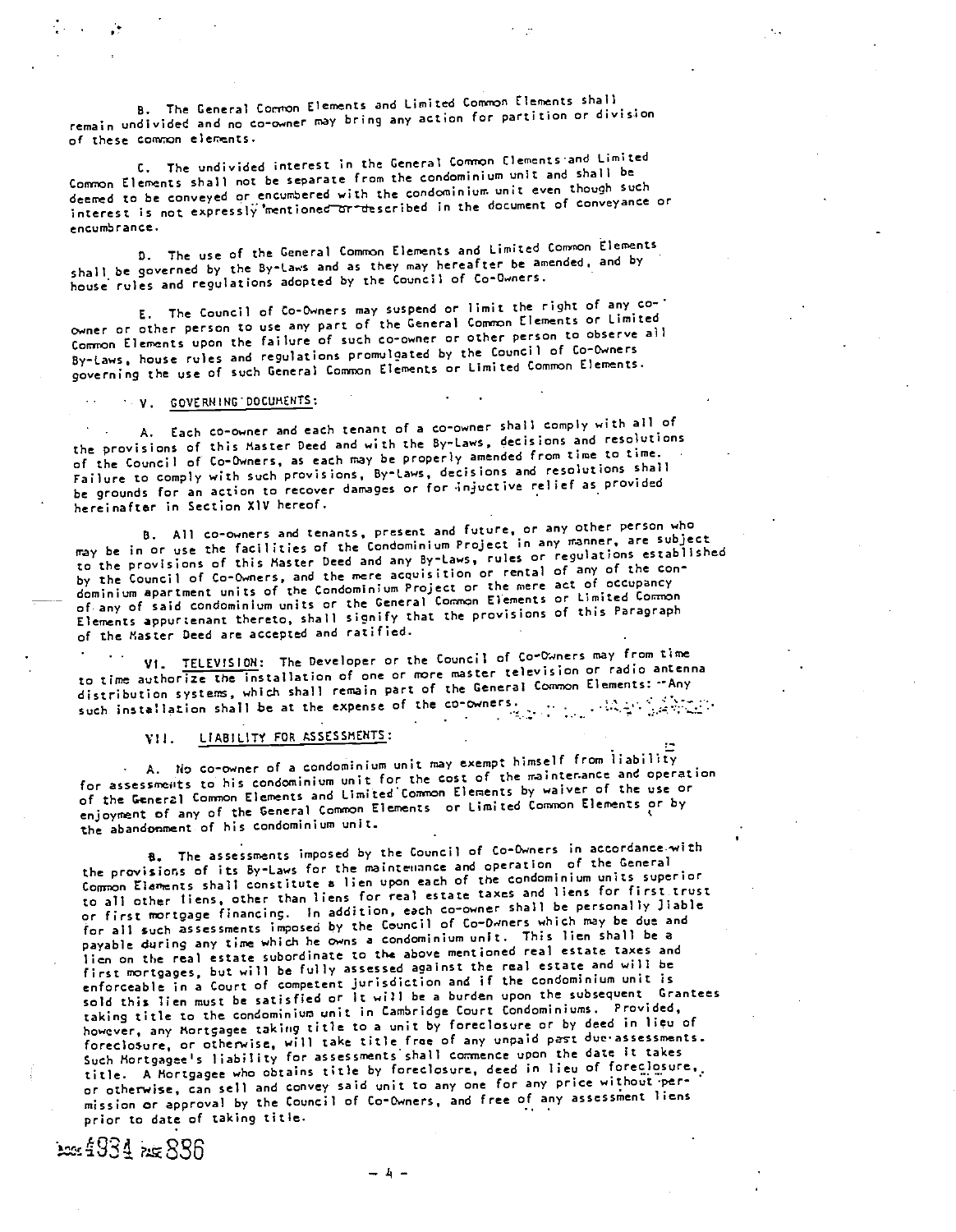B. The General Conton Elements and Limited Common Elements shall remain undivided and no co-owner may bring any action for partition or division of these common elements.

C. The undivided interest in the General Common Clements-and Limited Conron Elements shall not be separate from the condominium unit and shall be deemed to be conveyed or encumbered with the condominium unit even though such interest is not expressly mentioned or described in the document of conveyance or encumbrance.

D. The use of the General Common Elements and Limited Common Elements shall be governed by the By-laws and as they may hereafter be amended, and by house rules and regulations adopted by the Council of Co-Owners.

E. The Council of Co-Owners may suspend or limit the right of any co owner or other person to use any part of the General Common Elements or Limited Cormron Elements upon the failure of such co-owner or other person to observe all By-Laws, house rules and regulations promulgated by the Council of Co-Owners governing the use of such General Common Elements or Limited Common Elements.

## V. GOVERNING DOCUMENTS:

A. Each co-owner and each tenant of a co-owner shall comply with all of the provisions of this Master Deed and with the By-Laws. decisions and resolutions of the Council of Co-Owners, as each may be properly amended from time to time. Failure to comply with such provisions, By-Laws, decisions and resolutions shall be grounds for an action to recover damages or for injuctive relief as provided hereinafter in Section XIV hereof.

B. All co-owners and tenants, present and future, or any other person who may be in or use the facilities of the Condominium Project in any manner, are subject to the provisions of this Master Deed and any By-Laws, rules or regulations established by the Council of Co-Owners, and the mere acquisition or rental of any of the con doninium apartment units of the Condominium Project or the mere act of occupancy of any of said condominium units or the General Common Elements or Limited Common Elements appurtenant thereto, shall signify that the provisions of this Paragraph of the Master Deed are accepted and ratified.

VI. TELEVISION: The Developer or the Council of Co-Owners may from time to time authorize the installation of one or more master television or radio antenna distribution systems, which shall remain part of the General Common Elements: --Any distribution systems, which shall commit port of the co-owners.

## VII. LIABILITY FOR ASSESSMENTS:

A. No co-owner of a condominium unit may exempt himself from liability for assessments to his condominium unit for the cost of the mainter.ance and operation of the General Conynon Elements and Limited Conynon Elements by waiver of the use or enjoyment of any of the General Common Elements or Limited Common Elements or by the abandonment of his condominium unit.

8. The assessments imposed by the Council of Co-Owners in accordance-with the provisions of its By-Laws for the maintenance and operation of the General Connon Elements shall constitute a lien upon each of the condominium units superior to all other liens, other than liens for real estate taxes and liens for first trust or first mortgage financing. In addition, each co-owner shall be personally Jiable for all such assessments imposed by the Council of Co-Dwners which may be due and payable during any time which he owns a condominium unit. This lien shall be a lien on the real estate subordinate to the above mentioned real estate taxes and first mortgages, but will be fully assessed against the real estate and wfll be enforceable in a Court of competent jurisdiction and if the condominium unit is sold this lien must be satisfied or It will be a burden upon the subsequent Grantees taking title to the condominium unit in Cambridge Court Condominiums. Provided, however, any Mortgagee taking title to a unit by foreclosure or by deed in lieu of foreclosure, or otherwise, will take title free of any unpaid past due-assessments. Such Mortgagee's liability for assessments shall commence upon the date it takes title. A Mortgagee who obtains title by foreclosure, deed in lieu of foreclosure, or otherwise, can sell and convey said unit to any one for any price without per-<br>mission or approval by the Council of Co-Owners, and free of any assessment liens prior to date of taking title.

105 ft 934 het 886

 $-1 -$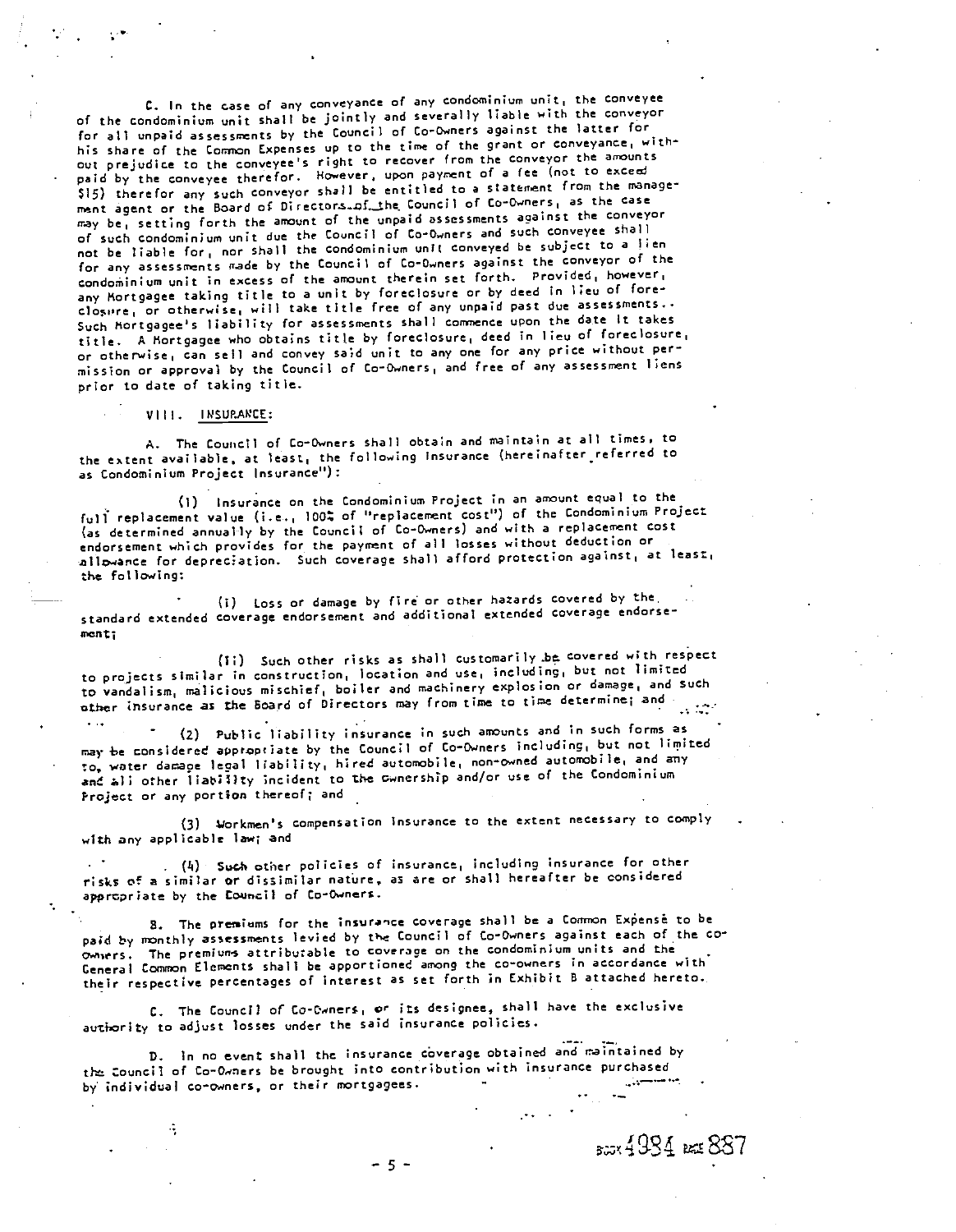C. In the case of any conveyance of any condominium unit, the conveyee of the condominium unit shall be jointly and severally liable with the conveyor for all unpaid assessments by the Council of to-owners against the latter for his share of the Common Expenses up to the time of the grant or conveyance, without prejudice to the conveyee's right to recover from the conveyor the amounts paid by the conveyee therefor. However, upon payment of a fee (not to exceed \$15) therefor any such conveyor shall be entitled to a statement from the managerent agent or the Board of Directors. of the Council of Co-Owners, as the case may be, setting forth the amount of the unpaid assessments against the conveyor of such condomink,m unit due the Council of Co-Owners and such conveyee shall not be liable for, nor shall the condominium unit conveyed be subject to a lien for any assessments made by the Council of Co-Owners against the conveyor of the condominium unit in excess of the amount therein set forth. Provided, however, any Mortgagee taking title to a unit by foreclosure or by deed in lieu of foreclosure, or otherwise, will take title free of any unpaid past due assessments.. Such Mortgagee's liability for assessments shall commence upon the date It takes title. A Mortgagee who obtains title by foreclosure, deed in lieu of foreclosure, or otherwise, can sell and convey said unit to any one for any price without permission or approval by the Council of Co-Owners, and free of any assessment liens prior to date of taking title.

VIII. Ih'SUP,ARCE:

.:

A. The Council of Co-Owners shall obtain and maintain at all times, to the extent available, at least, the following insurance (hereinafter referred to as Condominium Project Insurance"): -

Cl) Insurance on the Condominium Project in an amount equal to the full replacement value (i.e., 100% of "replacement cost") of the Condominium Project (as determined annually by the Council of Co-Owners) and with a replacement cost endorsement which provides for the payment of all losses without deduction or allowance for depreciation. Such coverage shall afford protection against, at least, the following:

(i) Loss or damage by fire or other hazards covered by the. standard extended coverage endorsement and additional extended coverage endorse mont;

(1;) Such other risks as shall customarily ,be covered with respect to projects similar in construction, location and use, including, but not limited to vandalism, malicious mischief, boiler and machinery explosion or damage, and such other insurance as the Board of Directors may from time to time determine; and -

(2) Public liability insurance in such amounts and in such forms as may be considered approptiate by the Councfl of Co-Owners including, but not limited to, water damage legal liability, hire4 automobile. norn'owned automobile, and any and all other liatility incident to the cwnership and/or use of the Condominium Project or any portion thereof; and

(3) Workmen's compensation insurance to the extent necessary to comply with any applicable law; and

 $(1)$  Such other policies of insurance, including insurance for other risks of a similar or dissimilar nature, as are or shall hereafter be considered appropriate by the Council of Co-Owners.

S. The preniams for the insurance coverage shall be a Common Exensè to be paid by monthly assessments levied by the Council of Co-Owners against each of the coowners. The premium's attributable to coverage on the condominium units and the General Common Elements shall be apportioned among the co-owners in accordance with their respective percentages of interest as set forth in Exhibit B attached hereto.

C. The Council of Co-Cwners, or its designee, shall have the exclusive autiority to adjust losses under the said insurance policies.

In no event shall the insurance coverage obtained and maintained by tt2 Council of Co-Owners be brought into contribution with insurance purchased by individual co-owners, or their mortgagees.

 $2.4934$  ext  $887$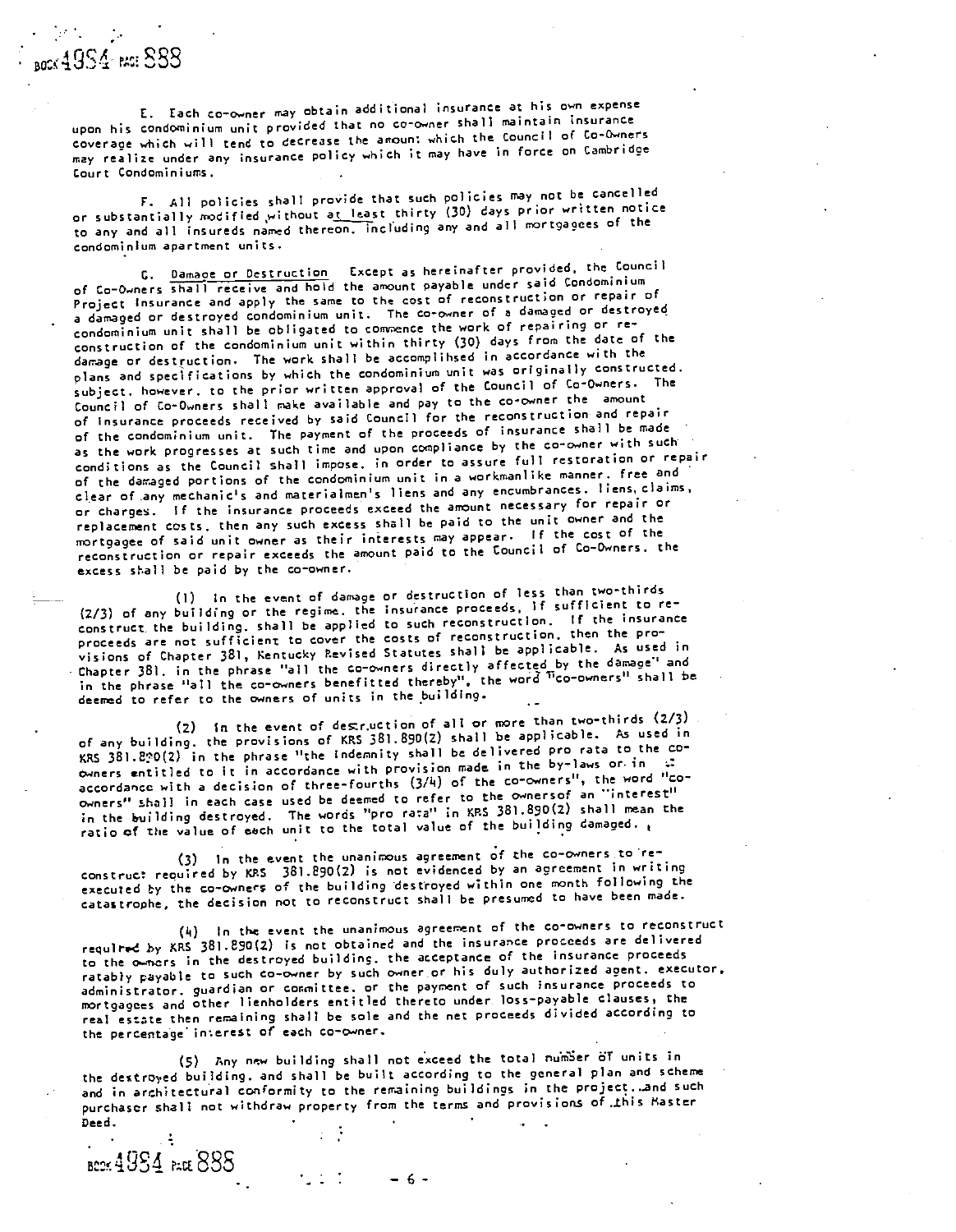Each co-owner may obtain additional insurance at his own expense upon his condominium unit provided that no co-owner shall maintain insurance coverage which will tend to decrease the amount whch the Council of Co-Owners may realize under any insurance policy which it nay have in force on Cambridge Court Condominiums.

All policies shall provide that such policies may not be cancelled or substantially rrodified ,without at least thirty (30) days prior written notice to any and all insureds named thereon, including any and all mortgagees of the condominium apartment units.

G. Damage or Destruction Except as hereinafter provided, the Council of Co-Owners shall receive and hold the amount payable under said Condominium Project Insurance and apply the same to the cost of reconstruction or repair of a damaged or destroyed condominium unit. The co-owner of a damaged or destroyed condominium unit shall be obligated to connence the work of repairing or reconstruction of the condominium unit within thirty (30) days from the date of the damage or destruction. The work shall be acconplihsed in accordance with the plans and specifications by which the condominium unit was originally constructed, subject, however, to the prior written approval of the Council of Co-Owners. The Council of Co-Owners shall make available and pay to the co-owner the amount of insurance proceeds received by said Council for the reconstruction and repair of the condominium unit. The payment of the proceeds of insurance shall be made as the work progresses at such time and upon compliance by the co-owner with such conditions as the Council shall impose, in order to assure full restoration or repair of the daraged portions of the condominium unit in a workmanlike manner, free and clear of any mechanic's and materialnen's liens and any encumbrances, liens, claims, or charges. If the insurance proceeds exceed the amount necessary for repair or replacement costs, then any such excess shall be paid to the unit owner and the mortgagee of said unit owner as their interests may appear. If the cost of the reconstruction or repair exceeds the amount paid to the Council of Co-Owners, the excess shall be paid by the co-owner.

Cl) In the event of damage or destruction of less than two-thirds (2/3) of any building or the regime, the insurance proceeds. If sufficient to reconstruct the building, shall be applied to such reconstruction, If the insurance proceeds are not sufficient to cover the costs of reconstruction, then the provisions of Chapter 381, Kentucky Revised Statutes shall be applicable. As used in Chapter 381, in the phrase "all the co-owners directly affected by the damage" and in the phrase "all the co-owners benefitted thereby", the word '1co-owners" shall be deemed to refer to the owners of units in the building.

In the event of decr.uction of all or more than two-thirds (2/3) of any building, the provisions of KRS 381.890(Z) shall be applicable. As used in KRS 38l.2?0(Z) in the phrase "the indemnity shall be delivered pro rata to the coowners entitled to it in accordance with provision made in the by-laws or in  $\pm$ accordance with a decision of three-fourths (3/4) of the co-owners", the word "coowners" shall in each case used be deemed to refer to the ownersof an "interest" in the building destroyed. The words "pro rata" in KRS 381.890(2) shall mean the ratio of the value of each unit to the total value of the building damaged.

In the event the unanimous agreement of the co-owners to reconstruct required by KRS 381.890(2) is not evidenced by an agreement in writing executed by the co-owners of the building destroyed within one month following the catastrophe, the decision not to reconstruct shall be presumed to have been made.

(4) In the event the unanimous agreement of the co-owners to reconstruct required by KRS 381.890(Z) is not obtained and the insurance proceeds are delivered to the owncrs in the destroyed building, the acceptance of the insurance proceeds ratably payable to such co-owner by such owner or his duly authorized agent, executor. administrator, guardian or conmittee, or the payment of such insurance proceeds to nortgagees and other lienholders entitled thereto under, loss-payable clauses, the real estate then remaining shall be sole and the net proceeds divided according to the percentage interest of each Co-owner.

(5) Any new building shall not exceed the total number of units in the destroyed building, and shall be built according to the general plan and scheme and in architectural conformity to the remaining buildings in the project, and such purchaser shall not withdraw property from the terms and provisions of this Master Deed. .

**6cor 49S4** Pack 888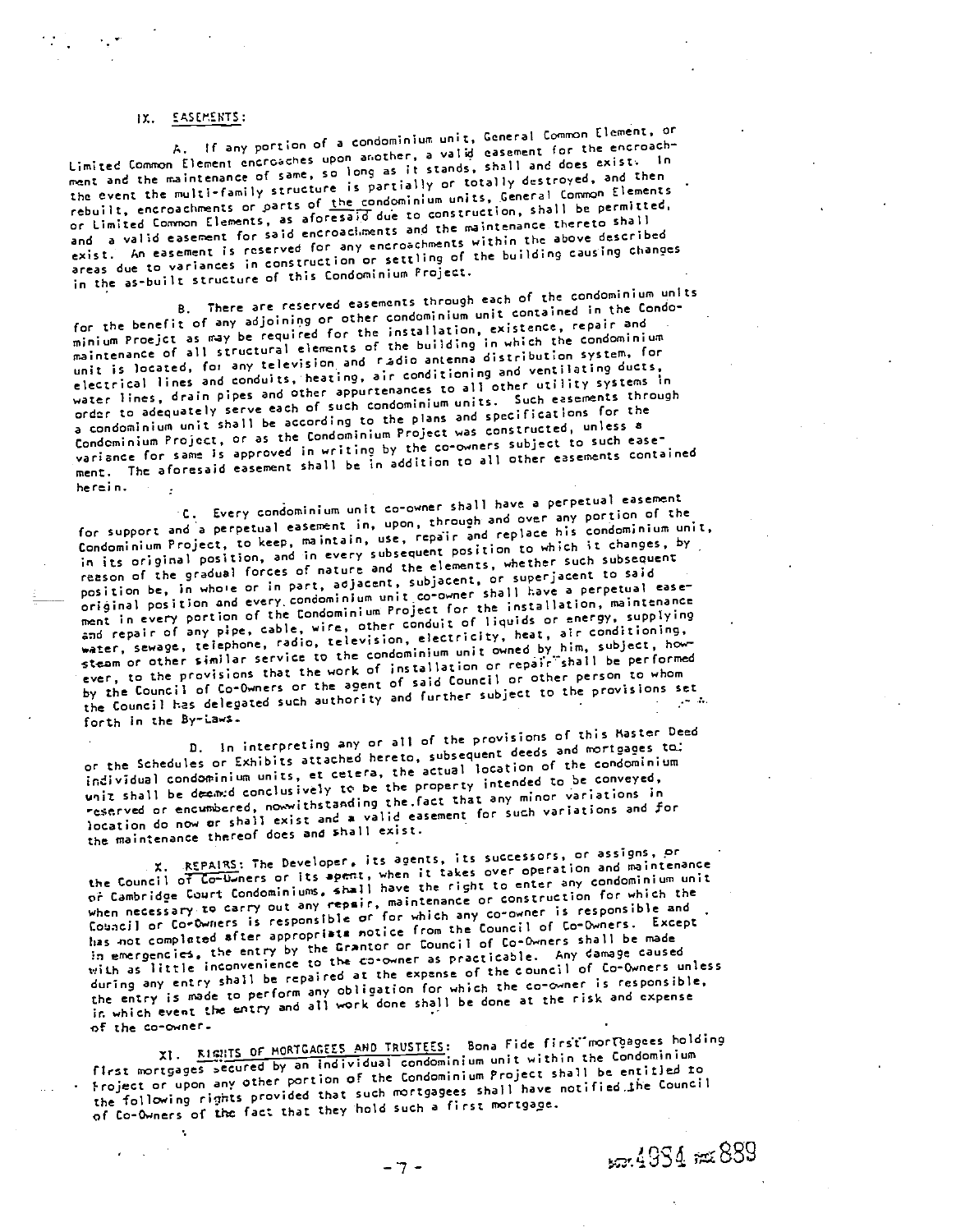### IX. EASElENTS:

A. If any portion of a condominium unit, General Common Element, or Limited Common Element encroaches upon another, a valid easement for the encroachment and the maintenance of same, so long as it stands, shall and does exist. In the event the multi-family structure is partially or totally destroyed, and then rebuilt, encroachments or parts of the condominium units, General Common Elements or Limited Common Elements, as aforesaid due to construction, shall be permitted. and a valid easement for said encroachments and the maintenance thereto shall exist. An easement is reserved for any encroachments within the above described areas due to variances in construction or settling of the building causing chances in the as-built structure of this Condominium Project.

There are reserved easements through each of the condominium unIts for the benefit of any adjoining or other condominium unit contained in the Condominium Proejct as may be required for the installation, existence, repair and maintenance of all structural elements of the building in which the condominium unit is located, for any television and radio antenna distribution system, for electrical lines and conduits, heating, air conditioning and ventilating ducts, water lines, drain pipes and other appurtenances to all other utility systems in order to adequately serve each of such condominium units. Such easements through a condominium unit shall be according to the plans and specifications for the Condominium Project, or as the Condominium Project was constructed, unless a variance for same is approved in writing by the co-owners subject to such easement. The aforesaid easement shall be in addition tO alI other easements contained herein.

Every condominium unit co-owner shall have a perpetual easement for support and a perpetual easement in, upon, through and over any portion of the Condominium Project, to keep, maintain, use, repair and replace his condominium unit, in its original position, and in every subsequent position to which it changes, by reason of the gradual forces of nature and the elements, whether such subsequent position be, in whole or in part, adjacent, subjacent, or superjacent to said original position and every condominium unit co-owner shall have a perpetual easement in every portion of the Condominium Project for the installation, maintenance and repair of any pipe, cable, wire, other conduit of liquids or energy, supplying water, sewage, telephone, radio, television, electricity, heat, air conditioning, ster, sewage, telephone, radio, television, electricity, near, similar subject, how-<br>steam or other similar service to the condominium unit owned by him, subject, however, to the provisions that the work of installation or repair shall be performed<br>ever, to the provisions that the work of installation or repair shall be performed by the Council of Co-Owners or the agent of said Council or other person to whom<br>the Council has delegated such authority and further subject to the provisions set the Council has delegated such authority and further subject to the provisions set forth in the By-Laws.

0. In interpreting any or all of the provisions of this Master Deed or the Schedules or Exhibits attached hereto, subsequent deeds and mortgages to: individual condominium units, et cetera, the actual location of the condominium unit shall be deemed conclusively to be the property intended to be conveyed, reserved or encumbered, nowwithstanding the fact that any minor variations in location do now or shall exist and a valid easement for such variations and for the maintenance thereof does and shall exist.

X. REPAIRS: The Developer, its agents, its successors, or assigns, or the Council of Co-U ners or its apent, when it takes over operation and maintenance of Cambridge Court Condominiums. shall have the right to enter any condominium unit when necessary to carry out any repair, maintenance or construction for which the countertainty of the contribution of the conduction of the community is responsible and has not completed after appropriats notice from the Council of Co-Owners. Except in emergencies. the entry by the Grantor or Council of Co-Owners shall be made with as little inconvenience to the Co-owner as practicable. Any damage caused during any entry shall be repaired at the expense of the council of Co-Owners unless the entry is made to perform any obligation for which the co-owner is responsible, in which event the entry and all work done shall be done at the risk and expense of the co-owner.

XI. **KiciTS OF MORTGAGEES AND TRUSTEES:** Bona Fide first mortgagees holding first mortgages secured by an individual condominium unit within the Condominium ?roject or upon any other portion of the Condominium Project shall be entitled to the following rights provided that such mortgagees shall have notified the Council of Co-Owners of the fact that they hold such a first mortgage.

**507.49S4 #x889**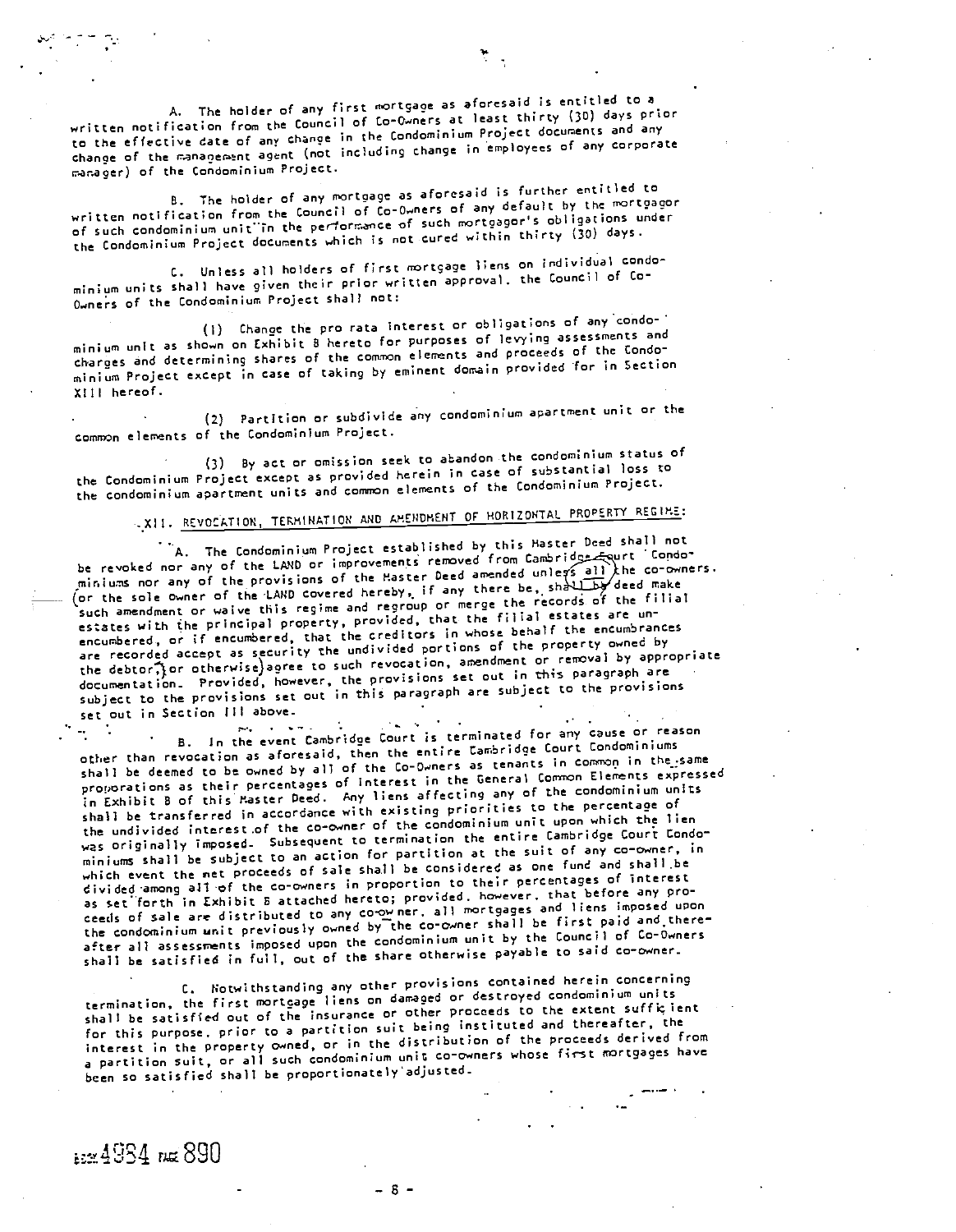A. The holder of any first mortgage as aforesaid is entitled to a written notification from the Council of Co-Owners at least thirty (30) days prior to the effective date of any change in the Condominium Project documents and any change of the management agent (not including change in employees of any corporate r.ar.aoer) of the Condominium Project.

The holder of any mortoage as aforesaid is further entitled to written notification from the Council of co-owners of any default by the mortgagor of such condominium unit in the performance of such mortgagor's obligations under the Condominium Project documents which is not cured within thirty (30) days.

C. Unless all holders of first mortgage liens on individual condominium units shall have given their prior written approval, the Council of Go-Owners of the Condominium Project shall not:

(I) Change the pro rata interest or obligations of anycondo minium unit as shown on Exhibit B hereto for purposes of levying assessments and tharges and determining shares of the common elements and proceeds of the Condominium Project except in case of taking by eminent domain provided for in Section XIII hereof.

(2) Partition or subdivide any condominium apartment unit or the common elements of the Condominium Project.

- (3) By act or omission seek to abandon the condominium status of the Condominium Project except as provided herein in case of substantial loss to the condominium apartment units and common elements of the Condominium Project.

# .XlI. REVOCATION, TERMINATION AND AMENDMENT OF HORIZONTAL PROPERTY REGIME:

A. The Condominium Project established by this Master Deed shall not be revoked nor any of the LAND or improvements removed from Cambridge Equrt Condobe revoked nor any of the LAND or improvements removed from our exists all the co-owners.<br>miniums nor any of the provisions of the Master Deed there he shall be deed make miniums nor any of the provisions of the raster beed dimensions.<br>(or the sole owner of the LAND covered hereby, if any there the records of the filial such amendment or waive this regime and regroup or merge the records of the filial estates with the principal property, provided, that the filial estates are unencumbered, or if encumbered, that the creditors in whose behalf the encumbrances are recorded accept as security the undivided portions of the property owned by the debtor $\widehat{\cdot}$  or otherwise)agree to such revocation, amendment or removal by appropriate documentation. Provided, however, the provisions set out in this paragraph are subject to the provisions set out in this paragraph are subject to the provisions set out in Section III above,

In the event Cambridge Court is terminated for any cause or reason other tham revocation as aforesaid, then the entire Cambridge Court Condominiums shall be deemed to be owned by all of the Co-Owners as tenants in common in the same proporations as their percentages of interest in the General Common Elements expressed in Exhibit B of this Master Deed. Any liens affecting any of the condominium units shall be transferred in accordance with existing priorities to the percentage of the undivided interest of the co-owner of the condominium unit upon which the lien was originally imposed. Subsequent to termination the entire Cambridge Court Condominiums shall be subject to an action for partition at the suit of any co-owner, in which event the net proceeds of sale shall be considered as one fund and shall be divided -among all -of the co-owners in proportion to their percentages of interest as set forth in Exhibit B attached hereto; provided, however, that before any proceeds of sale are distributed to any co.owner, all mortgages and liens imposed upon the condominium unit previously owned by the co-owner shall be first paid and thereafter all assessrents imposed upon the condominium unit by the Council of Co-Owners shall be satisfied in full, out of the share otherwise payable to said co-owner.

Notwithstanding any other provisions contained herein concerning termination, the first mortgage liens on damaged or destroyed condominium units shall be satisfied out of the insurance or other proceeds to the extent sufficient for this purpose, prior to a partition suit being instituted and thereafter, the interest in the property owned, or in the distribution of the proceeds derived from a partition suit, or all such condominium unit co-owners whose first mortgages have been so satisfied shall be proportionately adjusted.

ing 4934 rue 890

 $-8-$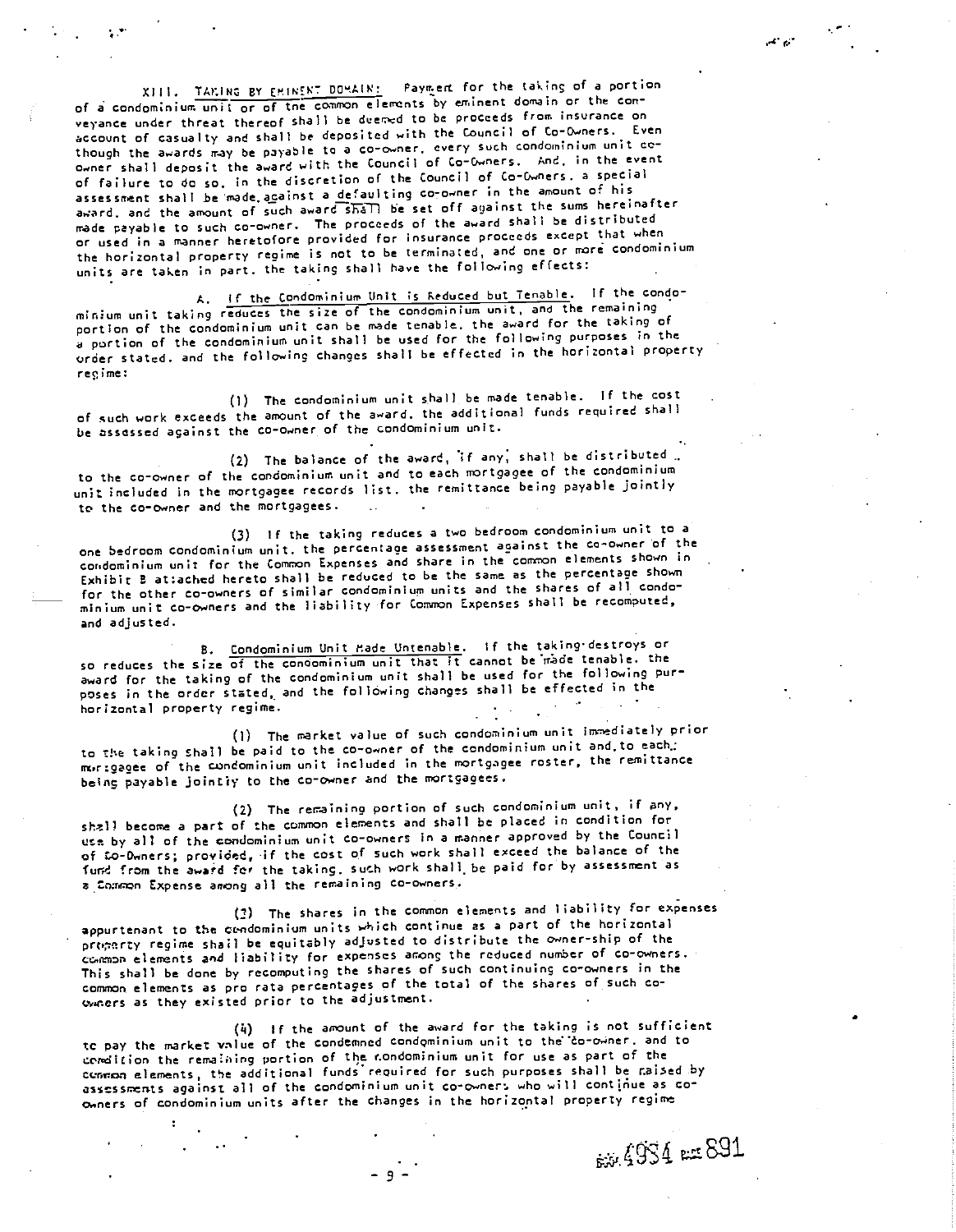XIII. TAKING BY EMINENT DOMAIN: Payment for the taking of a portion of a condominium unit or of tne conmon elements by eminent domain or the conveyance under threat thereof shall be deemed to be proceeds from insurance on account of casualty and shall be deposited with the Council of Co-Owners. Even though the awards may be payable to a co-owner, every such condominium unit co-Q,.ner shall deposit the award with the Council of Co-Owners. And, in the event of failure to do so. in the discretion of the Council of Co-Owners, a special assessment shall be made acainst a defaulting co-owner in the amount of his award, and the amount of such award shall be set off against the sums hereinafter made payable to such co-owner. The proceeds of the award shall be distributed or used in a manner heretofore provided for insurance proceeds except that when the horizontal property regime is not to be terminated, and one or more condominium Units are taken in part, the taking shall have the following effects:

A. If the Condominium Unit is Reduced but Tenable. If the condominium unit taking reduces the size of the condominium unit, and the remaining portion of the condominium unit can be made tenable, the award for the taking of a portion of the condominium unit shall be used for the following purposes in the order stated, and the following changes shall be effected in the horizontal property reo,ime:

(I) The condominium unit shall be made tenable. If the cost of such work exceeds the amount of the award, the additional funds required shall be assessed against the co-owner of the condominium unit.

 $(2)$  The balance of the award, if any, shall be distributed. to the co-owner of the condominium unit and to each mortgagee of the condominium unit included in the mortgagee records list, the remittance being payable jointly to the co-owner and the mortgagees.

 $(3)$  If the taking reduces a two bedroom condominium unit to a one bedroom condominium unit, the percentage assessment against the co-owner of the condominium unit for the Common Expenses and share in the common elements shown in Exhibit B attached hereto shall be reduced to be the same as the percentage shown for the other co-owners of similar condominium units and the shares of all condomimium unit co-owners and the liability for Conmon Expenses shall be recomputed, and adjusted.

B. Condominium Unit Made Untenable. If the taking destroys or so reduces the size of the condominium unit that it cannot beiràde tenable, the award for the taking of the condominium unit shall be used for the following purposes in the order stated, and the following changes shall be effected in the horizontal property regime.

The market value of such condominium unit innediately prior to the taking shall be paid to the co-owner of the condominium unit and.to each.: mortgagee of the condominium unit included in the mortgagee roster, the remittance being payable jointly to the co-owner and the mortgagees.

The remaining portion of such condominium unit, if any, shall become a part of the common elements and shall be placed in condition for ut by all of the condominium unit co-owners in a manner approved by the Council of to-Owners; provided, if the cost of such work shall exceed the balance of the fund from the award for the taking, such work shall be paid for by assessment as a Common Expense anong all the remaining co-owners.

(3) The shares in the common elements and liability for expenses appurtenant to the condominium units which continue as a part of the horizontal property regime shail be equitably adjusted to distribute the owner-ship of the ccnrnn elements an4 liability for expenses among the reduced number of co-owners. This shall be done by recomputing the shares of such continuing co-owners in the comnon elements as pro rata percentages of the total of the shares of such coowners as they exkted prior to the adjustment.

(11) If the amount of the award for the taking is not sufficient to pay the market value of the condemned condominium unit to the 'co-owner, and to comdition the remaining portion of the condominium unit for use as part of the coraton elements, the additional funds reQuired for such purposes shall be r.aised by assessments against all of the condominium unit co-owners who will continue as coowners of condominium units after the changes in the horizontal property regime

 $-9-$ 

b39:4 pct 891

الموارقين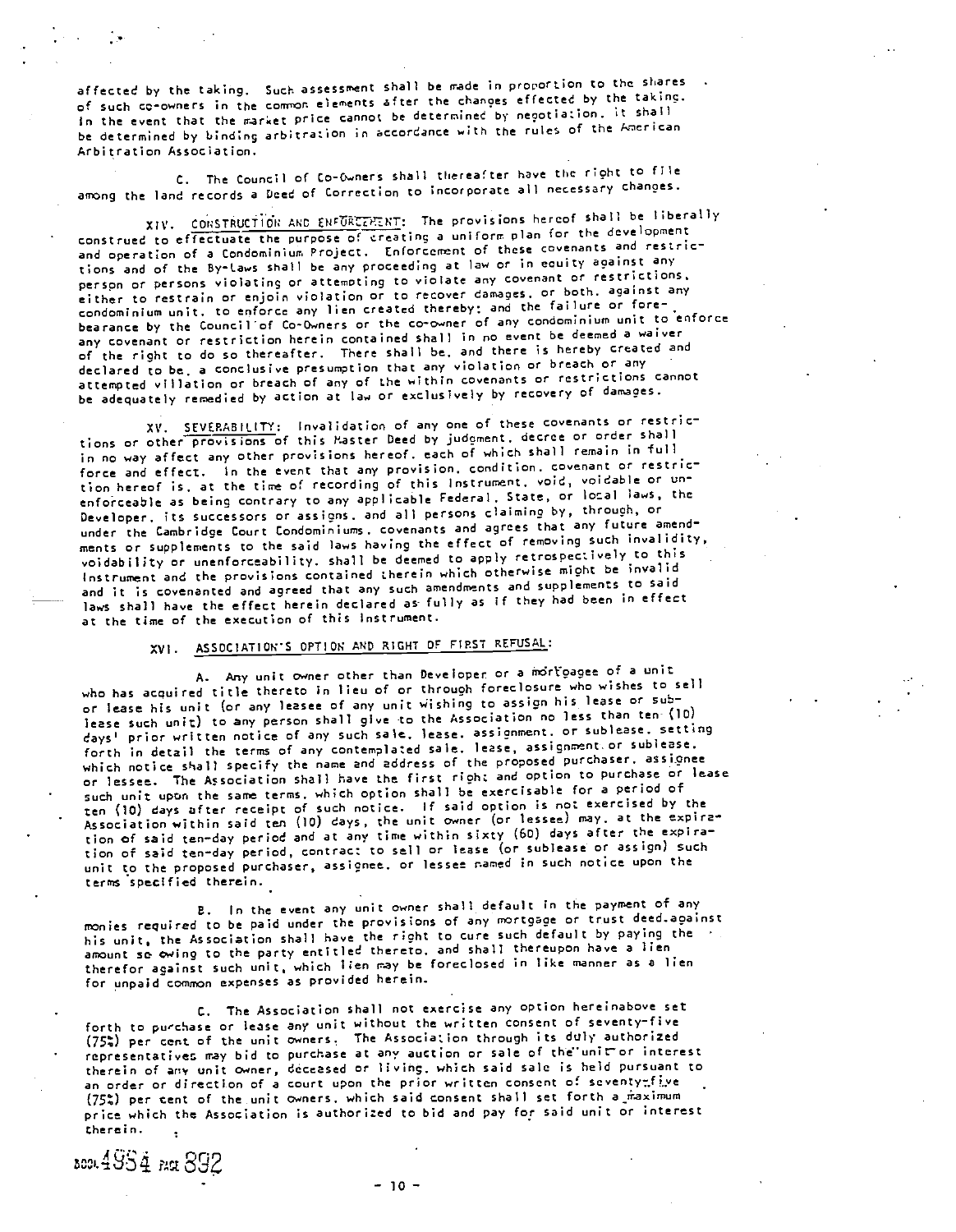affected by the taking. Such assessment shall be made in proportion to the shares of such co-owners in the common elements after the changes effected by the taking. in the event that the market price cannot be determined by negotiation, it shall be determined by binding arbitration in accordance with the rules of the American Arbi tration Association.

C. The Council of Co-Owners shall thereafter have the right to file among the land records a Deed of correction to incorporate all necessary changes.

XIV. CONSTRUCTION AND ENFORCEMENT: The provisions hereof shall be liberally construed to effectuate the purpose of creating a uniform plan for the development and operation of a Condominium Project. Enforcement of these covenants and restrictions and of the By-Laws shall be any proceeding at law or in eouity against any perspn or persons violating or attemoting to violate any covenant or restrictions. either to restrain or enjoin violation or to recover damages, or both, against any erther to restrain at anyone created thereby; and the failure or forebearance by the Councilof Co-Owners or the co-owner of any condominium unit to enforce any covenant or restriction herein contained shall in no event be deemed a waiver of the right to do so thereafter. There shall be, and there is hereby created and declared to be, a conclusive presumption that any violation or breach or any attenpted villation or breach of any of the within covenants or restrictions cannot be adequately remedied by action at law or exclusively by recovery of damages.

SEVERABILITY: Invalidation of any one of these covenants or restric tions or other provisions of this Master Deed by judoment, decree or order shall in no way affect any other provisions hereof, each of which shall remain in full force and effect. In the event that any provision, condition, covenant or restriction hereof is, at the tine of recording of this Instrument, void, voidable or unenforceable as being contrary to any applicable Federal, State, or local laws, the Developer, its successors or assigns, and all persons claiming by, through, or under the Cambridge Court Condominiums, covenants and agrees that any future amendments or supplements to the said laws having the effect of removing such invalidity, voidability or unenforceability, shall be deemed to apply retrospectively to this Instrument and the provisions contained therein which otherwise might be invalid and it is covenanted and agreed that any such amendments and supplements to said laws shall have the effect herein declared as fully as if they had been in effect at the time of the execution of this instrument.

# XVI. ASSOCIATION'S OPTION AND RIGHT OF FIRST REFUSAL:

A. Any unit owner other than Developer or a mortgagee of a unit who has acquired title thereto in lieu of or through foreclosure who wishes to sell or lease his unit (or any leasee of any unit wishing to assign his lease or sublease such unit) to any person shall give to the Association no less than ten- (10) days' prior written notice of any such sale, lease, assignment, or sublease, setting forth in detail the terms of any contemplated sale. lease, assignment or sublease. which notice shall specify the name and address of the proposed purchaser. assignee or lessee. The Association shall have the first right and option to purchase or lease such unit upon the same terms, which option shall be exercisable for a period of ten (10) days after receipt of such notice. If said option is not exercised by the Association within said ten (10) days, the unit owner (or lessee) nay, at the expiration of said ten-day period and at any time within sixty (60) days after the expiration of said ten-day period, contract to sell or lease (or sublease or assign) such unit to the proposed purchaser, assignee, or lessee named in such notice upon the terms specified therein.

in the event any unit owner shall default in the payment of any monies required to be paid under the provisions of any mortgage or trust deed.against his unit, the Association shall have the right to cure such default by paying the amount so owing to the party entitled thereto, and shall thereupon have a lien therefor against such unit, which lien cay be foreclosed in like manner as a lien for unpaid common expenses as provided herein.

The Association shall not exercise any option hereinabove set forth to pu'chase or lease any unit without the written consent of seventy-five (75t) per cent of the unit owners, The Association through its duly authorized representatives may bid to purchase at any auction or sale of the unit or interest therein of any unit owner, deceased or living, which said sale is held pursuant to an order or direction of a court upon the prior written consent of seventymfive (75%) per cent of the unit owners, which said consent shall set forth a maximum price which the Association is authorized to bid and pay for said unit or interest therein,

Acou 4954 PACt 892

-10-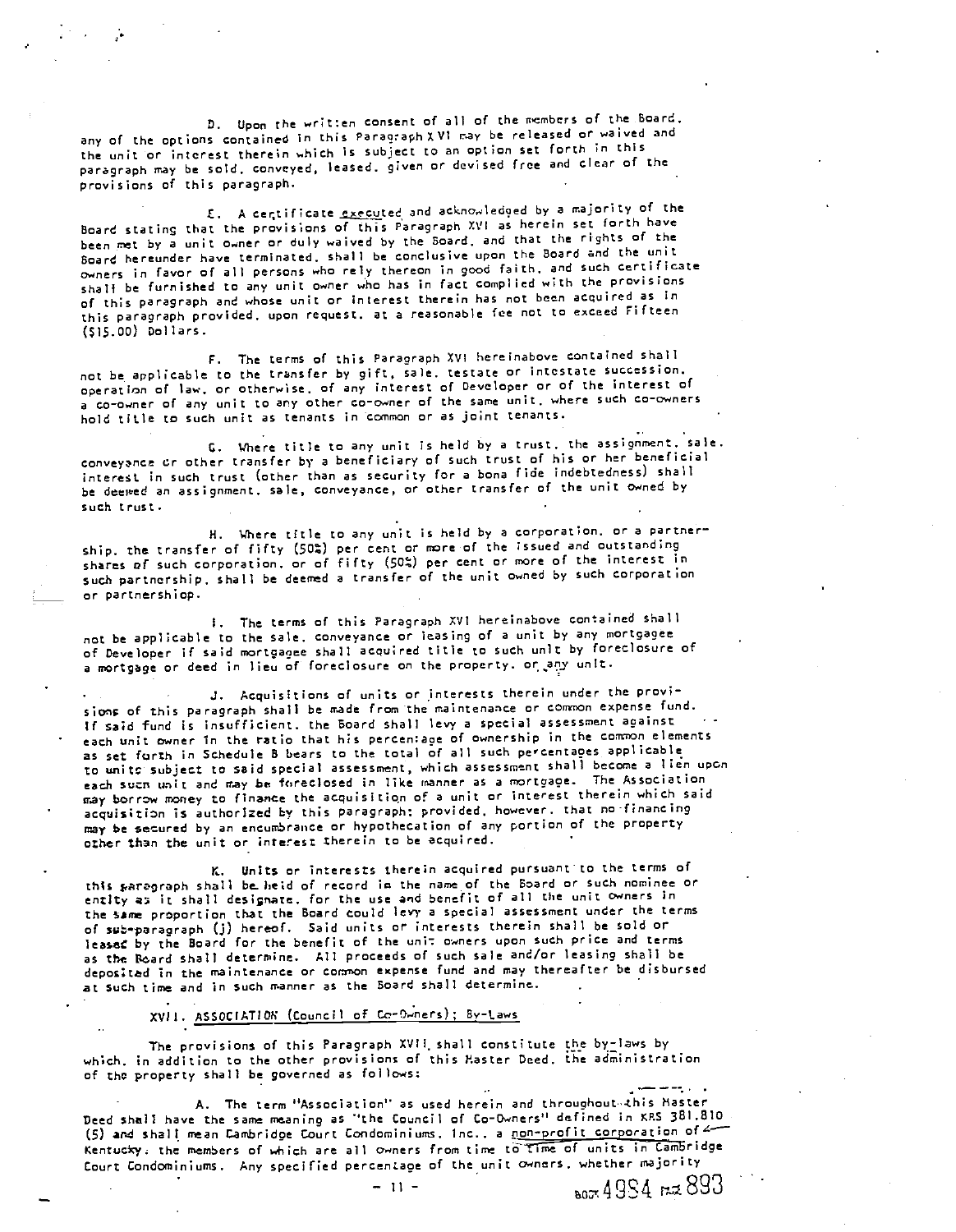D. Upon the written consent of all of the members of the Board, any of the options contained in this Paragraph XVI ray be released or waived and the unit or interest therein which is subject to an option set forth in this paragraph way be sold, conveyed, leased, given or devised free and clear of the provisions 01 this paragraph.

E. A certificate executed and acknowledged by a majority of the Board stating that the provisions of this Paragraph XVI as herein set forth have been met by a unit owner or duly waived by the Board, and that the rights of the Board hereunder have terminated, shall be conclusive upon the Boar d and the unit owners in favor of all persons who rely thereon in good faith, and such certificate onic) ...<br>shall be furnished to any unit owner who has in fact complied with the provisions of this paragraph and whose unit or interest therein has not been acquired as in this paragraph provided, upon request, at a reasonable fee not to exceed Fifteen (sis.00) Dollars.

F. The terms of this Paragraph XVI hereinabove contained shall not be applicable to the transfer by gift, sale, testate or intestate succession, operation of law, or otherwise, of any interest of Developer or of the interest of a co-owner of any unit to any other co-owner of the same unit, where such co-owners hold title to such unit as tenants in common or as joint tenants.

G. Where title to any unit is held by a trust, the assignment, sale. conveyance Cr other transfer by a beneficiary of such trust of his or her beneficial interest in such trust (other than as security for a bona fide indebtedness) shall be deewed an assignment, sale, conveyance, or other transfer of the unit owned by such trust.

H. Where title to any unit is held by a corporation, or a partnership, the transfer of fifty (50%) per cent or more of the issued and outstanding shares of such corporation, or of fifty (Sot) per cent or more of the interest in such partnership, shall be deemed a transfer of the unit owned by such corporation or parcnershiop.

The terms of this Paragraph XVI hereinabove contained shall not be applicable to the sale, conveyance or leasing of a unit by any mortgagee of Developer if said mortgagee shall acquired title to such unit by foreclosure of a mortgage or deed in lieu of foreclosure on the property, or any unit.

.3. Acquisitions of units or interests therein under the provi sions of this paragraph shall be made from the maintenance or common expense fund. if said fund is insufficient, the Board shall levy a special assessment against each unit owner in the ratio that his percentage of ownership in the common elements as set forth in Schedule B bears to the total of all such percentages applicable to units subject to said special assessment, which assessment shall become a lien upon each sucr, unit and may be foreclosed in like manner as a mortgage. The Association may borrow money to finance the acquisition of a unit or interest therein which said acquisition is authorized by this paragraph; provided, however, that no-financing may be secured by an encumbrance or hypothecation of any portion of the property other than the unit or interest therein to be acquired.

K. Units or interests therein acquired pursuant to the terms of thIs parcgraph shall be. held of record in the name of the Board or such nominee or entIty as it shall designate, for the use and benefit of all the unit owners In the same proportion that the Board could levy a special assessment under the terms of sub-paracraph (j) hereof. Said units or interests therein shall be sold or leaseC by the Board for the benefit of the unit owners upon such price and terms as the Board shall determine. All proceeds of such sale and/or leasing shall be depoitad in the maintenance or cornon expense fund and may thereafter be disbursed at such time and in such manner as the Board shall determine.

## XVII. ASSOCIATION (Council of Co-Owners); By-Laws

The provisions of this Paragraph XVII, shall constitute the by-laws by which, in addition to the other provisions of this Master Deed, the adinistration of tho property shall be governed as follows:

A. The term "Association" as used herein and throughout-this Master Deed shall have the same meaning as "the Council of Co-Owners" defined in XRS 381.810 (5) and shall mean Cambridge Court Condominiums, Inc., a non-profit corporation of 4 Kentucky, the members of which are all owners from time to time of units in Cambridge Court Condominiums. Any specified percentage of the unit owners, whether majority

**803** 893 rad

 $-11 -$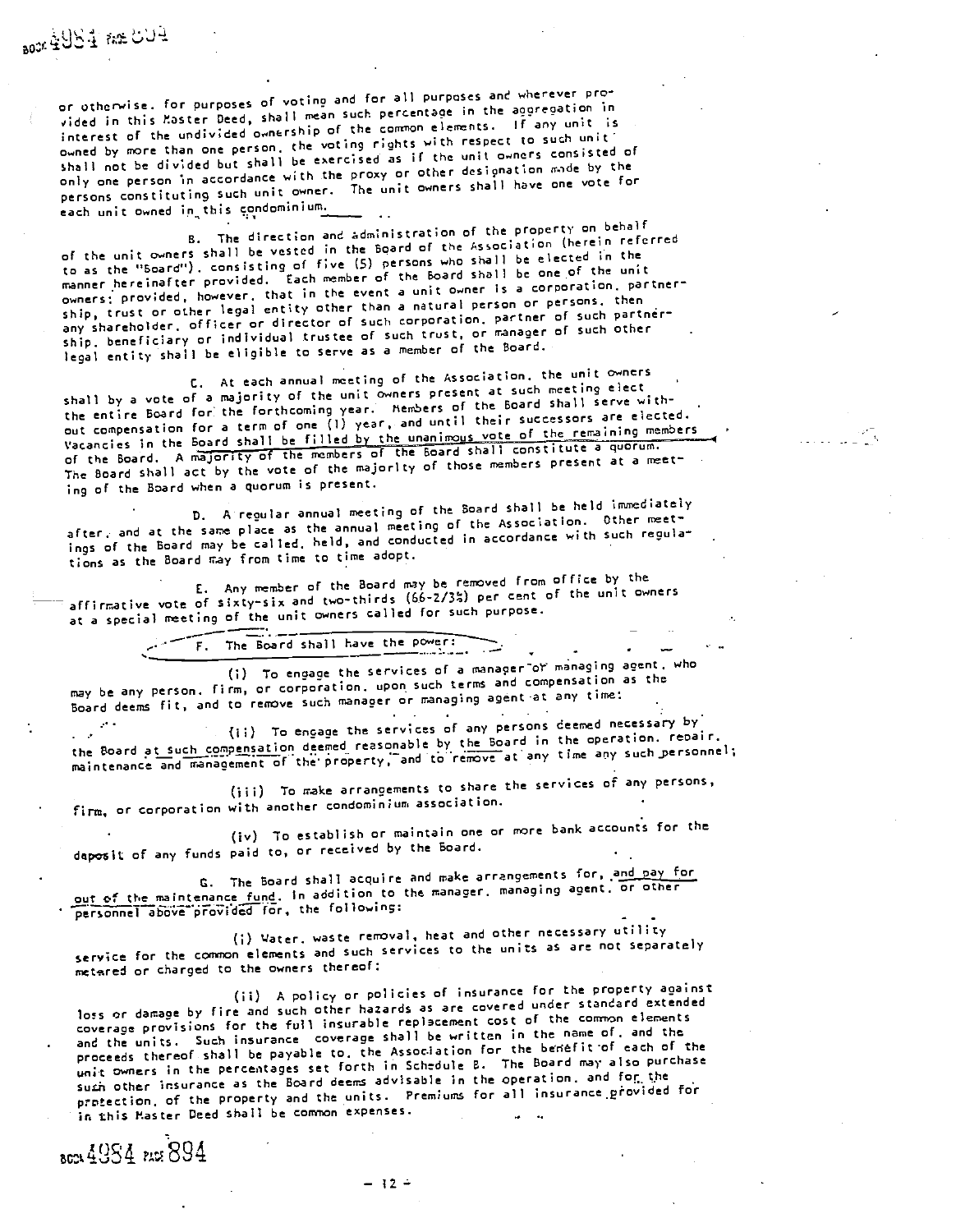or otherwise, for purposes of voting and for all purposes and wherever provided in this Master Deed, shall mean such percentage in the aggregation in interest of the undivided ownership of the common elements. If any unit is owned by more than one person, the voting rights with respect to such unit shall not be divided but shall be exercised as if the unit owners consisted of only one person in accordance with the proxy or other designation made by the persons constituting such unit owner. The unit owners shall have one vote for each unit owned in this condominium.

The direction and administration of the property on behalf of the unit owners shall be vested in the Board of the Association (herein referred to as the "Board"), consisting of five (5) persons who shall be elected in the manner hereinafter provided. Each member of the Board shall be one of the unit owners; provided, however, that in the event a unit owner is a corporation. partner ship, trust or other legal entty other than a natural person or persons, then any shareholder, officer or director of such corporation, partner of such partnér ship, beneficiary or individual trustee 0f such trust, or manager of such other legal entity shall be eligible to serve as a member of the Board.

At each annual meeting of the Association, the unit owners shall by a vote of a majority of the unit owners present at such neeting elect the entire Board for the forthcoming year. Members of the Board shall serve without compensation for a term of one (I) year, and until their successors are elected. Vacancies in the Board shall be filled by the unanimous vote of the remaining members of the Board. A majority of the members of the Board shall constitute a quorum. The Board shall act by the vote of the majorIty of those members present at a meeting of the Board when a quorum is present.

D. A regular annual meeting of the Board shall be held immediately after, and at the same place as the annual meeting of the Association. Other meetings of the Board may be called, held, and conducted in accordance with such regula tions as the Board nay from time to time adopt.

C. Any member of the Board may be removed from office by the affirmative vote of sixty-six and two-thirds (66-2/35) per cent of the unit owners at a special meeting of the unit owners called for such purpose.

F. The Board shall have the power:

(i) To engage the services of a manager or managing agent, who may be any person, firm, or corporation, upon such terms and compensation as the Board deems fit, and to remove such manager or managing agent-at any time;

 $(i)$  To engage the services of any persons deemed necessary by the Board at such compensation deemed reasonable by the Board in the operation, repair, maintenance and management of the property, and to remove at any time any such personnel;

(iii) To make arrangements to share the services of any persons, firm, or corporation with another condominium association.

To establish or maintain one or more bank accounts for the deposit of any funds paid to, or received by the Board.

C. The Board shall acquire and make arrangements for, and pay for out of the maintenance fund. In addition to the manager, managing agent, or other personnel above provided for, the following:

(i) Vater, waste removal, heat and other necessary utility service for the common elements and such services to the units as are not separately metered or charged to the owners thereof;

(ii) A policy or policies of insurance for the property against loss or damage by fire and such other hazards as are covered under standard extended coverage provisions for the full insurable replacement cost of the common elements and the units. Such insurance coverage shall be written in the name of, and the proceeds thereof shall be payable to, the Association for the benefit of each of the unit owners in the percenta9es set forth in Schedule B. The Board may also purchase such other insurance as the Board deems advisable in the operation, and for the protection, of the property and the units. Premiums for all insurance provided for in this Master Deed shall be common expenses.

8024 49S4 PAS 894

aox 4984 Re CO4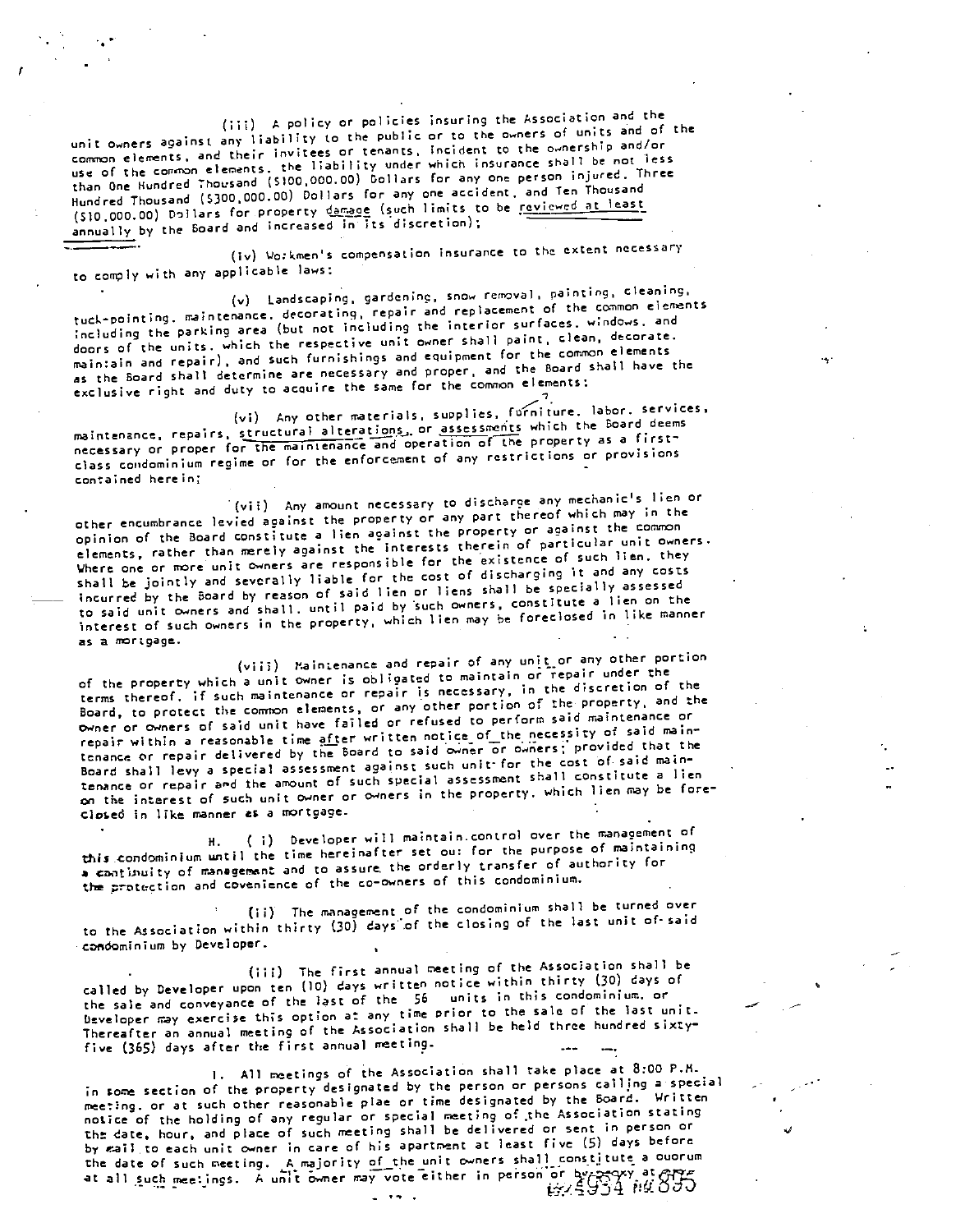(iii) A policy or policies insuring the Association and the unit owners against any liability to the public or to the owners of units and of the comnon elements, and their invitees or tenants, incident to the ownership and/or use of the common elements, the liability under which insurance shall be not less than One Hundred Thousand (5100,000.00) Dollars for any one person injured, Three Hundred Thousand (\$300,000.00) Dollars for any one accident, and Ten Thousand (\$10,000.00) Dollars for property damage (such limits to be reviewed at least annually by the Board and increased in its discretion);

(iv) Workmen's compensation insurance to the extent necessary to comply with any applicable laws;

(v) Landscaping, gardening, snow removal, painting, cleaning. tuck-pointing, maintenance, decorating, repair and replacement of the common elements ;ncluding the parking area (but not including the interior surfaces, windows, and doors of the units, which the respective unit owner shall paint, clean, decorate, maintain and repair), and such furnishings and equipment for the common elements as the Board shalt determine are necessary and proper, and the Board shall have the exclusive right and duty to acquire the same for the common elements;

(vi) Any other materials, supplies, forniture. labor, services, maintenance, repairs, structural alterations, or assessments which the Board deems necessary or proper for the maintenance and operation of the property as a firstclass condominium regime or for the enforcement of any restrictions or provisions contained herein;

(vii) Any amount necessary to discharge any mechanic's lien or other encumbrance levied aoainst the property or any part thereof which may in the opinion of the Board constitute a lien against the property or against the conuon elements, rather than merely against the interests therein of particular unit owners. Where one or more unit owners are responsible for the existence of such lien, they shall be jointly and severally liable for the cost of discharging it and any costs incurred by the Board by reason of said lien or liens shall be specially assessed to said unit owners and shall, until paid by such owners, constitute a lien on the to said unit owners and shall, until paid by such owners, conservative in like manner<br>interest of such owners in the property, which lien may be foreclosed in like manner  $\mathsf{a}$ s a mortgage.  $\blacksquare$ 

(viii) Maintenance and repair of any unit or any other portion of the property which a unit owner is oblicated to maintain or repair under the terms thereof, if such maintenance or repair is necessary, in the discretion of the Board, to protect the common elements, or any other portion of the property, and the owner or owners of said unit have failed or refused to perform said maintenance or repair within a reasonable time after written notice of the necessity of said maintenance or repair delivered by the Board to said owner or owners; provided that the Board shall levy a special assessment against such unir for the cost of- said maintenance or repair and the amount of such special assessment shall constitute a lien on the interest of such unit owner or owners in the property, which lien may be fore closed in like manner as a mortgage.

H. ( i) Developer will maintain control over the management of this condominium until the time hereinafter set out for the purpose of maintaining a continuity of management and to assure, the orderly transfer of authority for the protection and covenience of the co-owners of this condominium.

The management of the condominium shall be turned over to the Association within thirty (30) days".of the closing of the last unit of' said condominium by Developer.

The first annual meeting of the Association shall be called by Developer upon ten (IC) days written notice within thirty (30) days of the sale and conveyance of the last of the <sup>56</sup> units in this condominium, or Developer may exercise this option at any time prior to the sale of the last unit. Thereafter an annual meeting of the Association shall be held three hundred sixtyfive (365) days after the first annual meeting.

I. All meetings of' the Association shall rake place at 8:00 P.M. in some section of the property designated by the person or persons calling a special neeting, or at such other reasonable plae or time designated by the Board. Written notice of the holding of any regular or special netting of the Association stating the date, hour, and place of such meeting shall be delivered or sent in person or by eail to each unit owner in care of his apartment at least five (5) days before the date of such meeting. A majority of the unit owners shall constitute a ouorum at all such meetings. A unit owner may vote either in person or by spaxy at ever-<br>COCf at all such meetings. A unit owner may vote either in person or by  $\frac{1}{2}$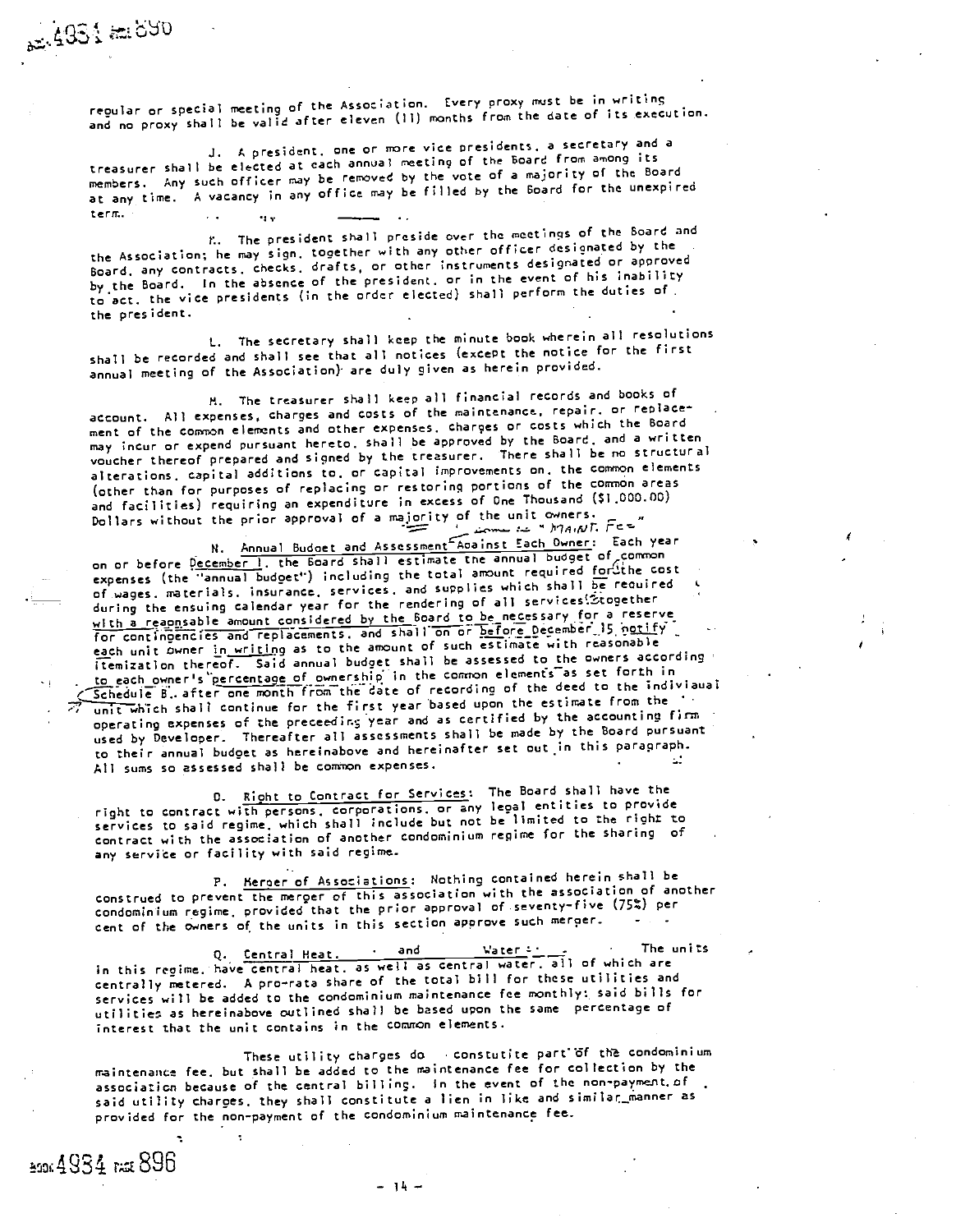regular or special meeting of the Association. Every proxy must be in writins and no proxy shall be valid after eleven (II) months from the date of its execution.

.J. A president. one or Frore viCe presidents, a secretary and a treasurer shall be elected at each annual meeting of the Board from among its members. Any such officer nay be removed by the vote of a majority of the Board at any time. A vacancy in any office may be filled by the Board for the unexpired term.

K. The president shall preside over the meetings of the Board and the Association; he nay sign, together with any other officer designated by the Board, any contracts, checks, drafts, or other instruments designated or approved by the Board. In the absence of the president, or in the event of his inability to act, the vice presidents (in the order elected) shall perform the duties of. the president.

I.. The secretary shall keep the minute book wherein all resolutions shall be recorded and shall see that all notices (except the notice for the first annual meeting of the Association) are duly given as herein provided.

M. The treasurer shall keep all financial records and books of account. All expenses, charges and costs of the maintenance, repair, or replacement of the common elements and other expenses, charges or costs which the Board may incur or expend pursuant hereto, shall be approved by the Board, and a written voucher thereof prepared and signed by the treasurer. There shall be no structural alterations, capital additions to, or capital improvements on, the common elements (other than for purposes of replacing or restoring portions of the corrnon areas and facilities) requiring an expenditure in excess of One Thousand (\$1,000.00) Dollars without the prior approval of a majority of the unit owners.  $l$  is an  $r$  in  $r$  in  $r$ ,  $r$  is  $r$ 

N. Annual Budget and Assessment Against Each Owner: Each year on or before December 1, the Board shall estimate the annual budget of common expenses (the 'annual budget') including the total amount required for the cost of wages, materials, insurance, services, and supplies which shall be reouired during the ensuing calendar year for the rendering of all 5vices',2,together with a reappsable amount considered by the Board to be necessary for a reserve Mich a requiseble embed to be contained by the original of before December. 15 notify each unit owner in writing as to the amount of such estimate with reasonable itemization thereof. Said annual budget shall be assessed to the owners according to each owner's percentage of ownership in the common elements as set forth in Schedule B, after one month from the date of recording of the deed to the indiviaual unit which shall continue for the first year based upon the estimate from the operating expenses of the preceedir.; year and as certified by the accounting fins used by Developer. Thereafter all assessments shall be made by the Board pursuant to their annual budget as hereinabove and hereinafter set out in this paragraph. All sums so assessed shall be common expenses.

0. Right to Contract for Services: The Board shall have the right to contract with persons, corporations, or any legal entities to provide services to said regime, which shall include but not be limited to the right to contract with the association of another condominium regime for the sharing of any service or facility with said regime.

P. Herger of Associations: Nothing contained herein shall be construed to prevent the merger of this association with the association of another condominium regime, provided that the prior approval of seventy-five (75%) per cent of the owners of the units in this section approve such merger.

Central Heat. . and ',ater The units in this regime, have central heat, as well as central water, all of which are centrally metered. A pro-rata share of the total bill for these utilities and services will be added to the condominium maintenance fee monthly: said bills for utilities as hereinabove outlined shall be based upon the same percentage of interest that the unit contains in the common elements.

These utility charges do constutite part of the condominium maintenance fee, but shall be added to the maintenance fee for collection by the association because of the central billing. In the event of the non-payment. of said utility charges, they shall constitute a lien in like and similar\_manner as provided for the non-payment of the condominium maintenance fee.

04984 r.ZE 896

065 to 1657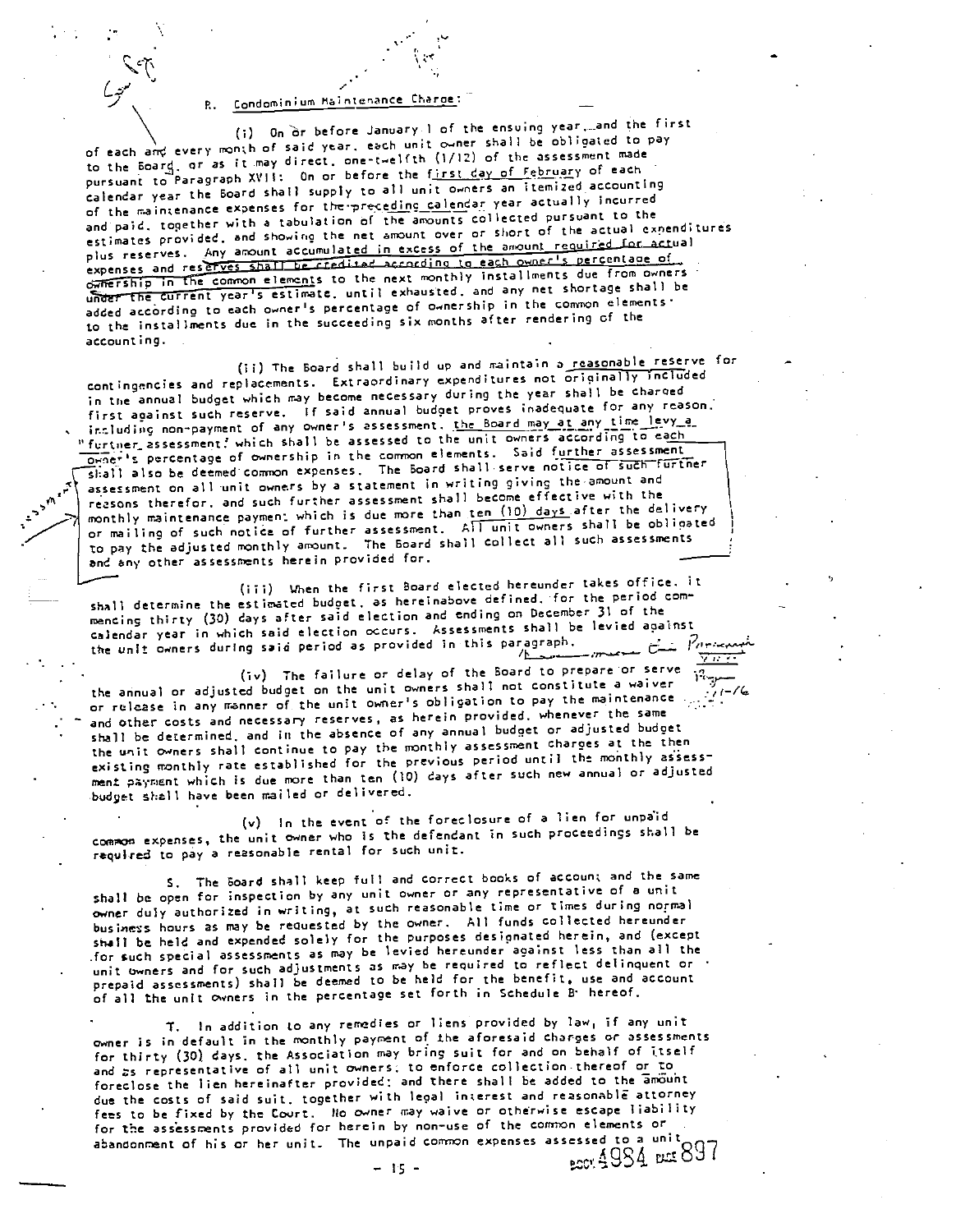R. Condominium Maintenance Charge:

(i) On or before January 1 of the ensuing year, and the first of each and every month of said year, each unit owner shall be obligated to pay to the Board, or as it may direct, one-twelfth (1/12) of the assessment made pursuant to Paragraph XVII: On or before the first day of February of each calendar year the Board shall supply to all unit owners an itemized accounting of the maintenance expenses for the preceding calendar year actually incurred and paid, together with a tabulation of the amounts collected pursuant to the estimates provided, and showing the net amount over or short of the actual expenditures plus reserves. Any amount accumulated in excess of the amount required for actual expenses and reserves shall be credited according to each owner's percentage of ownership in the common elements to the next monthly installments due from owners under the current year's estimate, until exhausted, and any net shortage shall be added according to each owner's percentage of ownership in the common elements. to the installments due in the succeeding six months after rendering of the accounting.

(ii) The Board shall build up and maintain a reasonable reserve for contingencies and replacements. Extraordinary expenditures not originally included in the annual budget which may become necessary during the year shall be charged first against such reserve. If said annual budget proves inadequate for any reason. including non-payment of any owner's assessment. the Board may at any time levy\_a\_ "furtner assessment, which shall be assessed to the unit owners according to each Orner's percentage of ownership in the common elements. Said further assessment shall also be deemed common expenses. The Board shall serve notice of such further assessment on all unit owners by a statement in writing giving the amount and reasons therefor, and such further assessment shall become effective with the monthly maintenance payment which is due more than ten (10) days after the delivery or mailing of such notice of further assessment. All unit owners shall be obligated to pay the adjusted monthly amount. The Board shall collect all such assessments and any other assessments herein provided for.

(iii) When the first Board elected hereunder takes office. it shall determine the estimated budget, as hereinabove defined, for the period commencing thirty (30) days after said election and ending on December 31 of the calendar year in which said election occurs. Assessments shall be levied against the unit owners during said period as provided in this paragraph. Karaka <del>⊽⊞</del>

(iv) The failure or delay of the Board to prepare or serve the annual or adjusted budget on the unit owners shall not constitute a waiver or release in any manner of the unit owner's obligation to pay the maintenance. and other costs and necessary reserves, as herein provided, whenever the same shall be determined, and in the absence of any annual budget or adjusted budget the unit owners shall continue to pay the monthly assessment charges at the then existing monthly rate established for the previous period until the monthly assessment payment which is due more than ten (10) days after such new annual or adjusted budget shall have been mailed or delivered.

(v) In the event of the foreclosure of a lien for unpaid common expenses, the unit owner who is the defendant in such proceedings shall be required to pay a reasonable rental for such unit.

S. The Board shall keep full and correct books of account and the same shall be open for inspection by any unit owner or any representative of a unit owner duly authorized in writing, at such reasonable time or times during normal business hours as may be requested by the owner. All funds collected hereunder shall be held and expended solely for the purposes designated herein, and (except for such special assessments as may be levied hereunder against less than all the unit owners and for such adjustments as may be required to reflect delinquent or prepaid assessments) shall be deemed to be held for the benefit, use and account of all the unit Owners in the percentage set forth in Schedule B hereof.

T. In addition to any remedies or liens provided by law, if any unit owner is in default in the monthly payment of the aforesaid charges or assessments for thirty (30) days, the Association may bring suit for and on behalf of itself and as representative of all unit owners; to enforce collection thereof or to foreclose the lien hereinafter provided; and there shall be added to the amount due the costs of said suit, together with legal interest and reasonable attorney fees to be fixed by the Court. No owner may waive or otherwise escape liability for the assessments provided for herein by non-use of the common elements or abandonment of his or her unit. The unpaid common expenses assessed to a unit BOOT 4984 BEE 897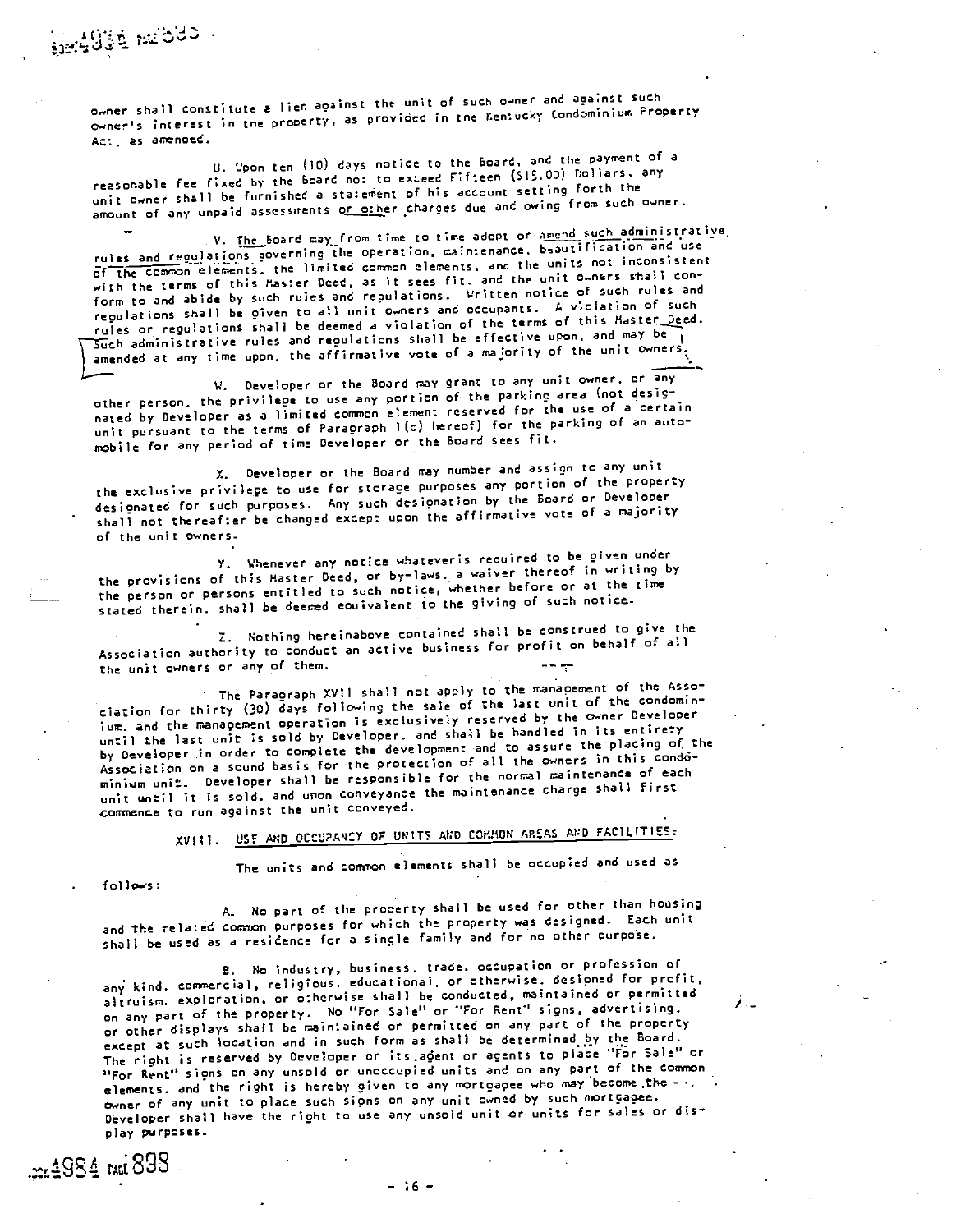owner shall constitute a lien against the unit of such owner and against such owner's interest in the property, as provided in the Kentucky Condominium Property Act, as amenoed.

U. Upon ten (10) days notice to the Board, and the payment of a reasonable fee fixed by the board no: to exceed Fifteen (S15.00) Dollars, any unit owner shall be furnished a statement of his account setting forth the amount of any unpaid assessments or other charges due and owing from such owner.

V. The Board may from time to time adopt or amend such administrative. rules and regulations governing the operation, maintenance, beautification and use of the cOmnDn elements, the limited common elements, and the units not inconsistent with the terms of this Master Deed, as it sees fit, and the unit owners shall conform to and abide by such rules and reoulations. Written notice of such rules and regulations shall be given to all unit owners and occupants. A violation of such rules or regulations shall be deemed a violation of the terms of this Master Deed. Such administrative rules and regulations shall be effective upon, and may be amended at any time upon, the affirmative vote of a majority of the unit owners.

V. Developer or the Board may grant to any unit owner, or any other person, the privilege to use any portion of the parking area (not desir nated by Developer as a limited common element reserved for the use of a certain unit pursuant to the terms of Paragraph 1(c) hereof) for the parking of an automobile for any period of time Developer or the Board sees fit.

X. Developer or the Board may number and assign to any unit the exclusive privilege to use for storage purposes any portion of the property designated for such purposes. Any such designation by the Board or Develooer shall not thereafter be changed except upon the affirmative vote of a majority of the unit owners.

Y. Whenever any notice whateveris required to be given under the provisions of this Master Deed, or by-laws, a waiver thereof in writing by the person or persons entitled to such notice, whether before or at the tire stated therein, shall be deemed eauivalent to the giving of such notice.

Z. Nothing hereinabove contained shall be construed to give the Association authority to conduct an active business for profit on behalf of all the unit owners or any of them.

The Paragraph XVII shall not apply to the manapement of the Association for thirty (30) days following the sale of the last unit of the condominium, and the management operation is exclusively reserved by the owner Developer until the last unit is sold by Developer, and shall be handled in its entirety by Developer in order to complete the development and to assure the placing of the Association on a sound basis for the protection of all the owners in this condominiwm unit. Developer shall be responsible for the normal maintenance of each unit until it is sold, and upon conveyance the maintenance charge shall first conrence to run against the unit conveyed.

XVIII. USE AND OCCU?ANCV or units AND COMMON AREAS AND FAC1LITIES:

The units and common elements shall be occupied and used as

follows:

.pr. 1984 RKG 893

No part of the prooerty shall be used for other than housing and the related common purposes for which the property was designed. Each unit shall be used as a residence for a single family and for no other purpose.

No industry, business, trade, occupation or profession of any kind, commercial, religious, educational, or otherwise, designed for profit, altruism, exploration, or otherwise shall be conducted, maintained or permitted on any part of the property. No "For Sale" or "For Sent" signs, advertising. or other displays shall be maintained or permitted on any part of the property except at such location and in such form as shall be determined by the Board. The right is reserved by Developer or its agent or agents to place "For Sale" or "For Rent" signs on any unsold or unoccupied units and on any part of the conwom elements, and the right is hereby given to any mortoapee who may become the owner of any unit to place such signs on any unit owned by such mortgagee. Developer shall have the right to use any unsold unit or units for sales or display purposes.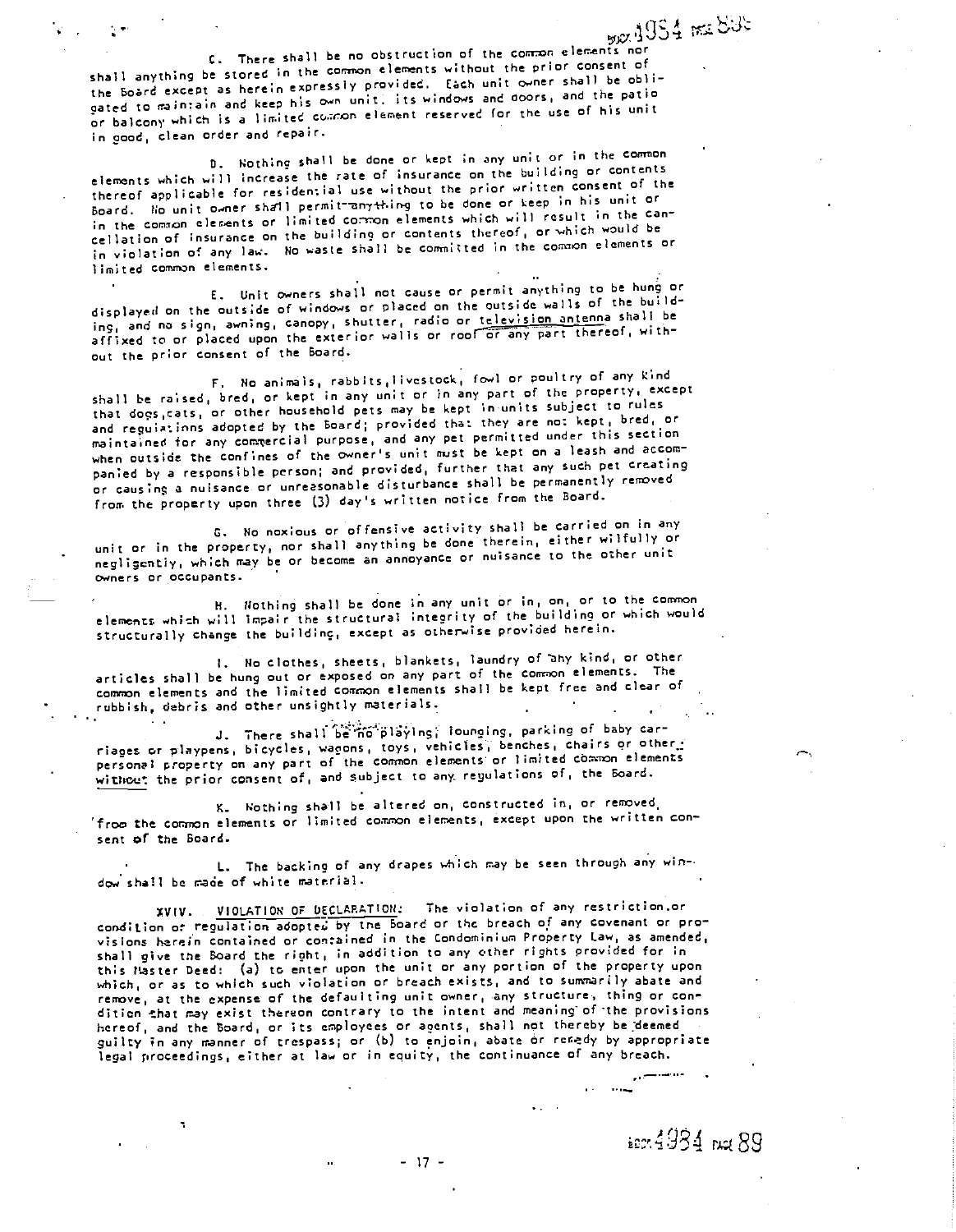E. There shall be no obstruction of the common elements nor shall anything be stored in the common elements without the prior consent of the Board except as herein expressly provided. tach unit 0wner shall be obli gated to maintain and keep his own unit, its windows and doors, and the patio or balcony which is a limited common element reserved for the use of his unit in good, clean order and repair.

0. Nothing shall be done or kept in any unit or in the common elements which will increase the rate of insurance on the building or contents thereof applicable for residential use without the prior written consent of the Board, ho unit owner shall permit anything to be done or keep in his unit or in the common elements or limited contron elements which will result in the cancellation of insurance on the building or contents thereof, or which would be in violation of any law. No waste shall be committed in the common elements or limited common elements.

E. Unit owners shall not cause or permit anything to be hung or displayed on the outside of windows or placed on the outside walls of the builddisplayed on the outside of windows or piaced on the outside mails and no shall be<br>ing, and no sign, awning, canopy, shutter, radio or <u>television antenna</u> shall be ing, and no sign, awning, canopy, shutter, radio or television anyonic film.<br>affixed to or placed upon the exterior walls or roof or any part thereof, without the prior consent of the Board.

F. Ho animals, rabbits,livestOck, fowl or poultry of any kind shall be raised, bred, or kept in any unit or in any part of the property. except that dogs,cats, or other household pets nay be kept in-units subject to rules and reguiatinns adopted by the Board; provided that they are not kept, bred, or maintained for any conwercial purpose, and any pet permitted under this section when outside the confines of the owner's unit must be kept on a leash and accompanied by a responsible person; and provided, further that any such pet creating or causing a nuisance or unreasonable disturbance shall be permanently removed from the property upon three (3) day's written notice from the Board.

C. No noxious or offensive activity shall be carried on in any unit or in the property, nor shall anything be done therein, either wilfully or negligently, which may be or become an annoyance or nuisance to the other unit owners or occupants.

H. Nothing shall be done in any unit or in, on, or to the common elements which will impair the structural inteority of the building or which would structurally change the building, except as otherwise provided herein.

No clothes, sheets, blankets, laundry of ahy kind, or other articles shall be hung out or exposed on any part of the common elements. The common elements and the limited common elements shall be kept free and clear of rubbish, debris and other unsightly materials.

J. There shall be no playing; lounging, parking of baby carriages or playpens, bicycles, wagons, toys, vehicles, benches, chairs or other,:<br>personal property on any part of the common elements or limited common elements<br>without the prior consent of, and subject to any regulations riages or playpens, bicycles, wagons, toys, vehicles, benches, chairs or other. without the prior consent of, and subject to any regulations of, the Board.

K. Nothing shall be altered on, constructed in, or removed 'from the common elements or limited common elements, except upon the written consent of the Board.

I.. The backing of any drapes which may be seen through any window shall be made of white material.

XVIV. VIOLATION OF DECLARATION: The violation of any restriction.or condition or regulation adopted by the Board or the breach of any covenant or provisions herein contained or contained in the Condominium Property Law, as amended, shall give the Board the right, in addition to any other rights provided for in this Haster Deed: (a) to enter upon the unit or any portion of the property upon which, or as to which such violation or breach exists, and to summarily abate and remove, at the expense of the defaulting unit owner, any structure, thing or condition that may exist thereon contrary to the intent and meaning of the provisions<br>hereof, and the Board, or its employees or agents, shall not thereby be deemed<br>guilty in any manner of trespass; or (b) to enjoin, abate or legal proceedings, either at law or in equity, the continuance of any breach.

- 17 -

 $4934$  not  $89$ 

المستشري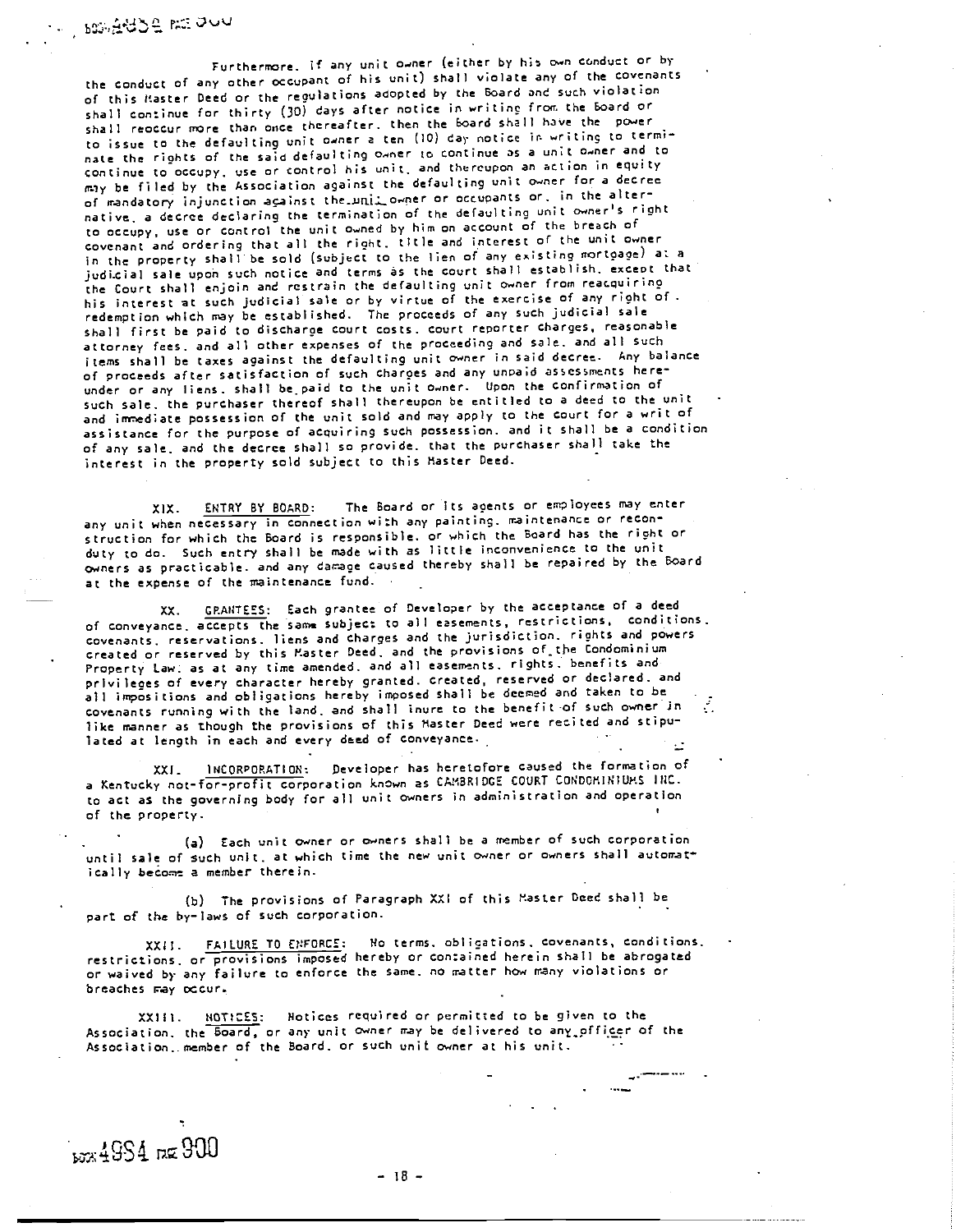box ause me duu

Furthermore, if any unit owner (either by his own conduct or by the conduct of any other occupant of his unit) shall violate any of the covenants of this Master Deed or the regulations adopted by the Board and such violation shall continue for thirty (30) days after notice in writing from the Board or shall reoccur more than once thereafter, then the Board shall have the power to issue to the defaulting unit owner a ten (10) day notice in writing to terminate the rights of the said defaulting owner to continue as a unit owner and to continue to occupy, use or control his unit, and thereupon an action in equity may be filed by the Association against the defaulting unit owner for a decree of mandatory injunction against the unit owner or occupants or, in the alternative, a decree declaring the termination of the defaulting unit owner's right to occupy, use or control the unit owned by him on account of the breach of covenant and ordering that all the right, tItle and interest of the unit owner in the property shall be sold (subject to the lien of any existing mortgage) at a judicial sale upon such notice and terms as the court shall establish, except that the Court shall enjoin and restrain the defaulting unit owner from reacquiring his interest at such judicial sale or by virtue of the exercise of any right of. redemption which may be established. The proceeds of any such judicial sale shall first be paid to discharge court costs, court reporter charges, reasonable attorney fees, and all other expenses of the proceeding and sale, and all such items shall be taxes against the defaulting unit owner in said decree, Any balance of proceeds after satisfaction of such charges and any unpaid assessments hereunder or any liens, shall be paid to the unit owner. Upon the confirmation of such sale, the purchaser thereof shall thereupon be entitled to a deed to the unit and immediate possession of the unit sold and may apply to the court for a writ of assistance for the purpose of acquiring such possession, and it shall be a condition of any sale, and the decree shall so provide, that the purchaser shall take the interest in the property sold subject to this Master Deed.

XIX. ENTRY BY BOARD; The Board or Its agents or employees may enter any unit when necessary in connection with any painting, maintenance or reconstruction for which the Board is responsible, or which the Board has the right or duty to do. Such entry shall be made with as little inconvenience to the unit owners as practicable, and any damage caused thereby shall be repaired by the Board at the expense of the maintenance fund.

XX. GRANTEES: Each grantee of Developer by the acceptance of a deed of conveyance, accepts the same subject to all easements, restrictions, conditions covenants, reservations, liens and charges and the jurisdiction, rights and powers created or reserved by this Master Deed, and the provisions of.the Condominium Property Law, as at any time amended, and all easements, rights, benefits and privileges of every character hereby granted, created, reserved or declared, and all impositions and obligations hereby imposed shall be deemed and taken to be covenants running with the land, and shall inure to the benefit -of such owner in like manner as though the provisions of this Master Deed were recited and stipulated at length in each and every deed of conveyance.

XXI. INCORPORATION: Developer has heretofore caused the formation of a Kentucky not-for-profit corporation known as CAM3RID6E COURT CONDOMINIUMS lilt. to act as the governing body for all unit owners in administration and operation of the property.

Each unit owner or owners shall be a member of such corporation until sale of such unit, at which time the new unit owner or owners shall automatically become a member therein.

The provisions of Paragraph XXI of this Master Deed shall be part of the by-laws of such corporation.

XXII. FAILURE TO ENFORCE: No terms, obligations, covenants, conditions, restrictions, or provisions imposed hereby or contained herein shall be abrogated or waived by any failure to enforce the sane, no matter how many violations or breaches nay occur.

XXIII. NOTICES: Notices required or permitted to be given to the Association, the Board, or any unit owner may be delivered to any\_pfficer of the Association, member of the Board, or such unit owner at his unit,

bzx 4984 rxx 900

 $-18 -$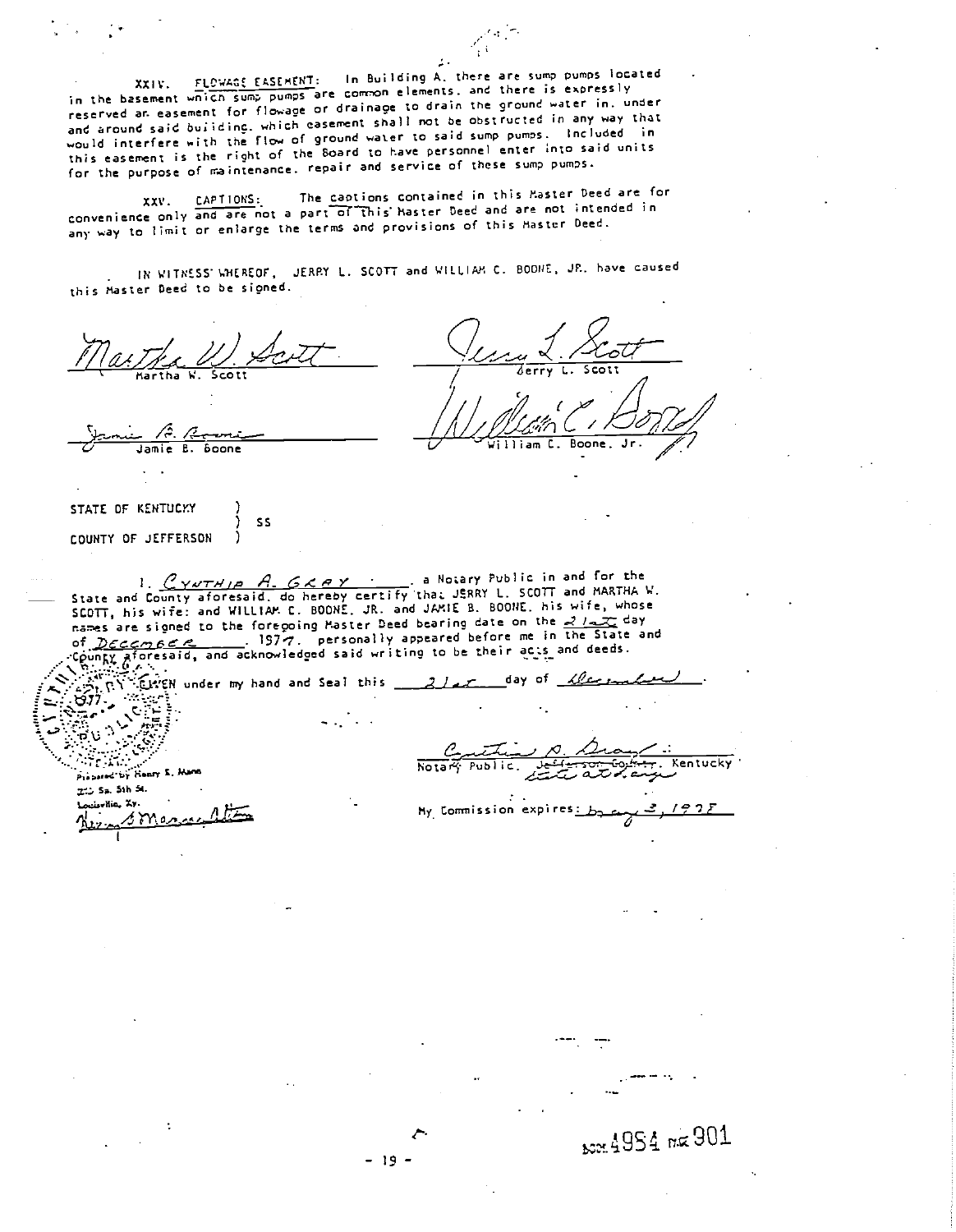FLOWAGE EASEMENT: In Building A, there are sump pumps located in the basement which sump pumps are common elements, and there is expressly reserved an easement for flowage or drainage to drain the ground water in. under and around said building, which easement shall not be obstructed in any way that would interfere with the flow of ground water to said sump pumps. Included in this easement is the right of the Board to have personnel enter into said units for the purpose of maintenance. repair and service of these sump pumps.

The captions contained in this Master Deed are for CAPTIONS: XXV. convenience only and are not a part of this haster Deed and are not intended in any way to limit or enlarge the terms and provisions of this Master Deed.

IN WITNESS WHEREOF, JERRY L. SCOTT and WILLIAM C. BODNE, JR. have caused this Master Deed to be signed.

Jamie B. **Boone** STATE OF KENTUCKY **SS** 1 j COUNTY OF JEFFERSON . a Notary Public in and for the 1.  $\frac{C \gamma v \tau H/\rho}$  A.  $G \times P$   $\gamma$  a Notary Public in and for the<br>State and County aforesaid, do hereby certify that JERRY L. SCOTT and MARTHA W.<br>SCOTT, his wife: and WILLIAM C. BOONE, JR. and JAMIE B. BOONE, his wife, who names are signed to the foregoing Master Deed bearing date on the 2122 day of December 1977. personally appeared before me in the State<br>County aforesaid, and acknowledged said writing to be their acts and deeds.  $\therefore$  197 $\sigma$ . personally appeared before me in the State and  $67 - 10$ こ  $\mathcal{L}^{\text{max}}_{\text{max}}$ Notary Public **Kentucky** Prapared by Henry E. Hann 215 Sa. 5th 5t. Locaville, Xy. My Commission expires: smarsell

A954 mg 901